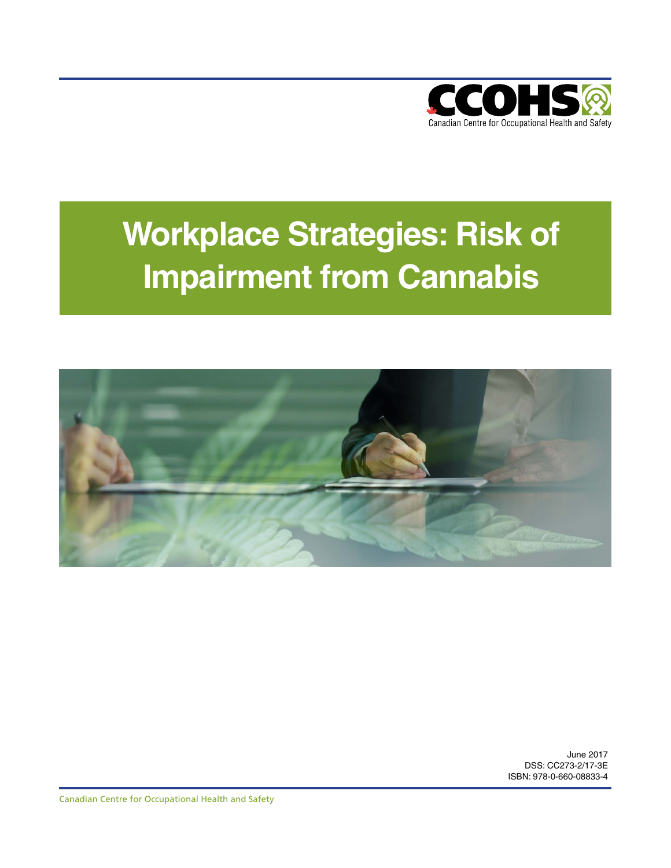

# **Workplace Strategies: Risk of Impairment from Cannabis**



June 2017 DSS: CC273-2/17-3E ISBN: 978-0-660-08833-4

Canadian Centre for Occupational Health and Safety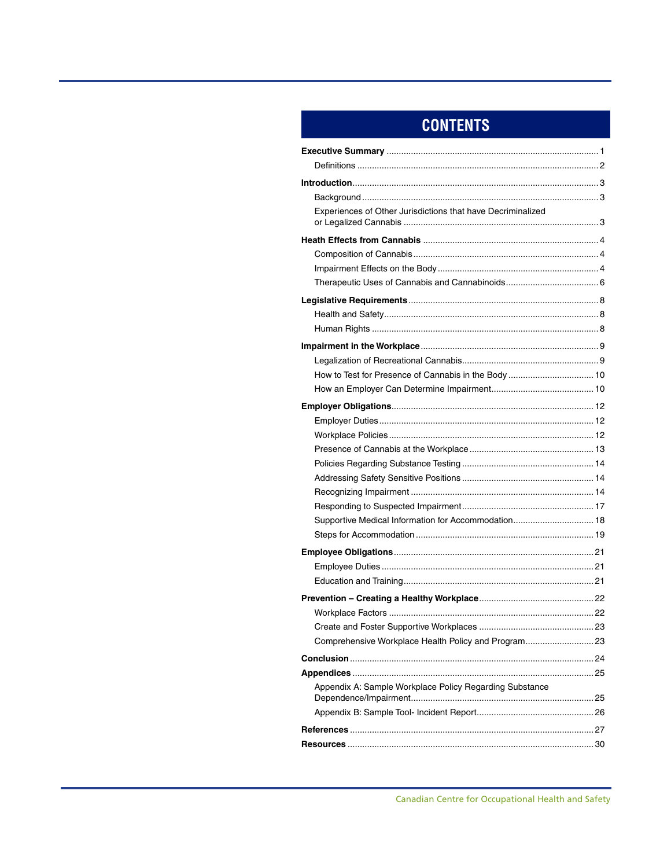# **CONTENTS**

| Experiences of Other Jurisdictions that have Decriminalized |
|-------------------------------------------------------------|
|                                                             |
|                                                             |
|                                                             |
|                                                             |
|                                                             |
|                                                             |
|                                                             |
|                                                             |
|                                                             |
|                                                             |
|                                                             |
|                                                             |
|                                                             |
|                                                             |
|                                                             |
|                                                             |
|                                                             |
|                                                             |
|                                                             |
|                                                             |
| Supportive Medical Information for Accommodation 18         |
|                                                             |
|                                                             |
|                                                             |
|                                                             |
|                                                             |
|                                                             |
|                                                             |
| Comprehensive Workplace Health Policy and Program23         |
|                                                             |
|                                                             |
| Appendix A: Sample Workplace Policy Regarding Substance     |
|                                                             |
|                                                             |
|                                                             |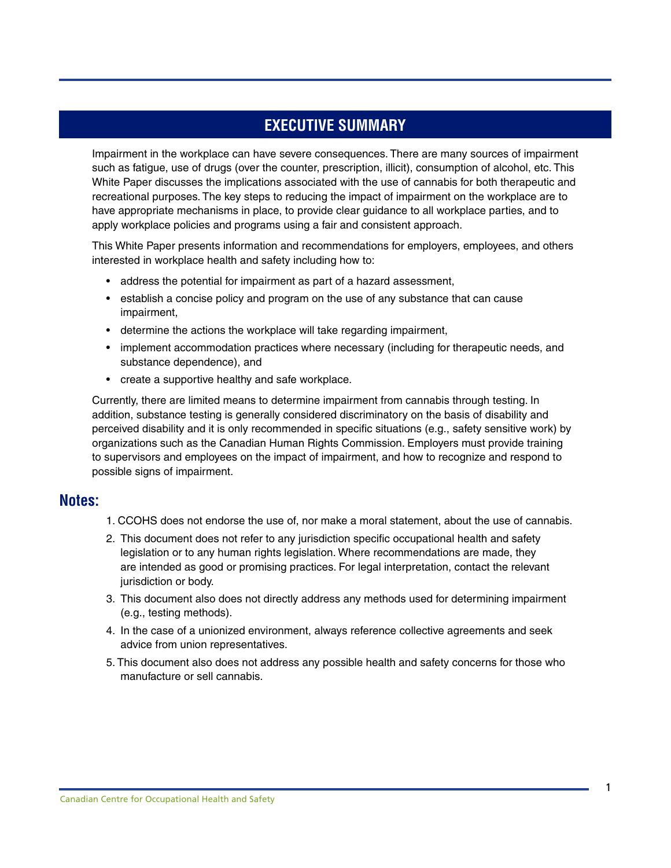### **EXECUTIVE SUMMARY**

<span id="page-2-0"></span>Impairment in the workplace can have severe consequences. There are many sources of impairment such as fatigue, use of drugs (over the counter, prescription, illicit), consumption of alcohol, etc. This White Paper discusses the implications associated with the use of cannabis for both therapeutic and recreational purposes. The key steps to reducing the impact of impairment on the workplace are to have appropriate mechanisms in place, to provide clear guidance to all workplace parties, and to apply workplace policies and programs using a fair and consistent approach.

This White Paper presents information and recommendations for employers, employees, and others interested in workplace health and safety including how to:

- address the potential for impairment as part of a hazard assessment,
- establish a concise policy and program on the use of any substance that can cause impairment,
- determine the actions the workplace will take regarding impairment,
- implement accommodation practices where necessary (including for therapeutic needs, and substance dependence), and
- create a supportive healthy and safe workplace.

Currently, there are limited means to determine impairment from cannabis through testing. In addition, substance testing is generally considered discriminatory on the basis of disability and perceived disability and it is only recommended in specific situations (e.g., safety sensitive work) by organizations such as the Canadian Human Rights Commission. Employers must provide training to supervisors and employees on the impact of impairment, and how to recognize and respond to possible signs of impairment.

### **Notes:**

- 1. CCOHS does not endorse the use of, nor make a moral statement, about the use of cannabis.
- 2. This document does not refer to any jurisdiction specific occupational health and safety legislation or to any human rights legislation. Where recommendations are made, they are intended as good or promising practices. For legal interpretation, contact the relevant jurisdiction or body.
- 3. This document also does not directly address any methods used for determining impairment (e.g., testing methods).
- 4. In the case of a unionized environment, always reference collective agreements and seek advice from union representatives.
- 5. This document also does not address any possible health and safety concerns for those who manufacture or sell cannabis.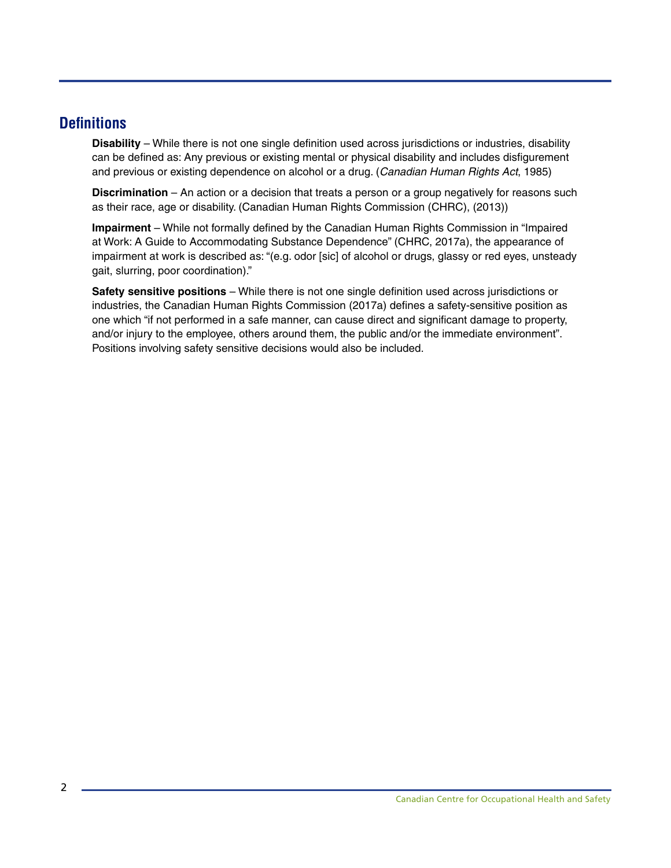### <span id="page-3-0"></span>**Definitions**

**Disability** – While there is not one single definition used across jurisdictions or industries, disability can be defined as: Any previous or existing mental or physical disability and includes disfigurement and previous or existing dependence on alcohol or a drug. (*Canadian Human Rights Act*, 1985)

**Discrimination** – An action or a decision that treats a person or a group negatively for reasons such as their race, age or disability. (Canadian Human Rights Commission (CHRC), (2013))

**Impairment** – While not formally defined by the Canadian Human Rights Commission in "Impaired at Work: A Guide to Accommodating Substance Dependence" (CHRC, 2017a), the appearance of impairment at work is described as: "(e.g. odor [sic] of alcohol or drugs, glassy or red eyes, unsteady gait, slurring, poor coordination)."

**Safety sensitive positions** – While there is not one single definition used across jurisdictions or industries, the Canadian Human Rights Commission (2017a) defines a safety-sensitive position as one which "if not performed in a safe manner, can cause direct and significant damage to property, and/or injury to the employee, others around them, the public and/or the immediate environment". Positions involving safety sensitive decisions would also be included.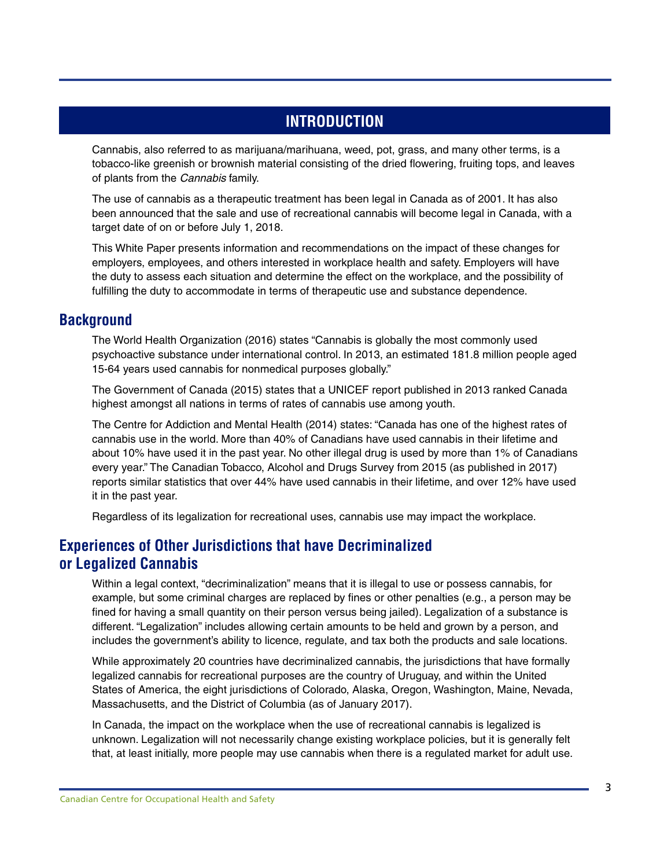## **INTRODUCTION**

<span id="page-4-0"></span>Cannabis, also referred to as marijuana/marihuana, weed, pot, grass, and many other terms, is a tobacco-like greenish or brownish material consisting of the dried flowering, fruiting tops, and leaves of plants from the *Cannabis* family.

The use of cannabis as a therapeutic treatment has been legal in Canada as of 2001. It has also been announced that the sale and use of recreational cannabis will become legal in Canada, with a target date of on or before July 1, 2018.

This White Paper presents information and recommendations on the impact of these changes for employers, employees, and others interested in workplace health and safety. Employers will have the duty to assess each situation and determine the effect on the workplace, and the possibility of fulfilling the duty to accommodate in terms of therapeutic use and substance dependence.

### **Background**

The World Health Organization (2016) states "Cannabis is globally the most commonly used psychoactive substance under international control. In 2013, an estimated 181.8 million people aged 15-64 years used cannabis for nonmedical purposes globally."

The Government of Canada (2015) states that a UNICEF report published in 2013 ranked Canada highest amongst all nations in terms of rates of cannabis use among youth.

The Centre for Addiction and Mental Health (2014) states: "Canada has one of the highest rates of cannabis use in the world. More than 40% of Canadians have used cannabis in their lifetime and about 10% have used it in the past year. No other illegal drug is used by more than 1% of Canadians every year." The Canadian Tobacco, Alcohol and Drugs Survey from 2015 (as published in 2017) reports similar statistics that over 44% have used cannabis in their lifetime, and over 12% have used it in the past year.

Regardless of its legalization for recreational uses, cannabis use may impact the workplace.

### **Experiences of Other Jurisdictions that have Decriminalized or Legalized Cannabis**

Within a legal context, "decriminalization" means that it is illegal to use or possess cannabis, for example, but some criminal charges are replaced by fines or other penalties (e.g., a person may be fined for having a small quantity on their person versus being jailed). Legalization of a substance is different. "Legalization" includes allowing certain amounts to be held and grown by a person, and includes the government's ability to licence, regulate, and tax both the products and sale locations.

While approximately 20 countries have decriminalized cannabis, the jurisdictions that have formally legalized cannabis for recreational purposes are the country of Uruguay, and within the United States of America, the eight jurisdictions of Colorado, Alaska, Oregon, Washington, Maine, Nevada, Massachusetts, and the District of Columbia (as of January 2017).

In Canada, the impact on the workplace when the use of recreational cannabis is legalized is unknown. Legalization will not necessarily change existing workplace policies, but it is generally felt that, at least initially, more people may use cannabis when there is a regulated market for adult use.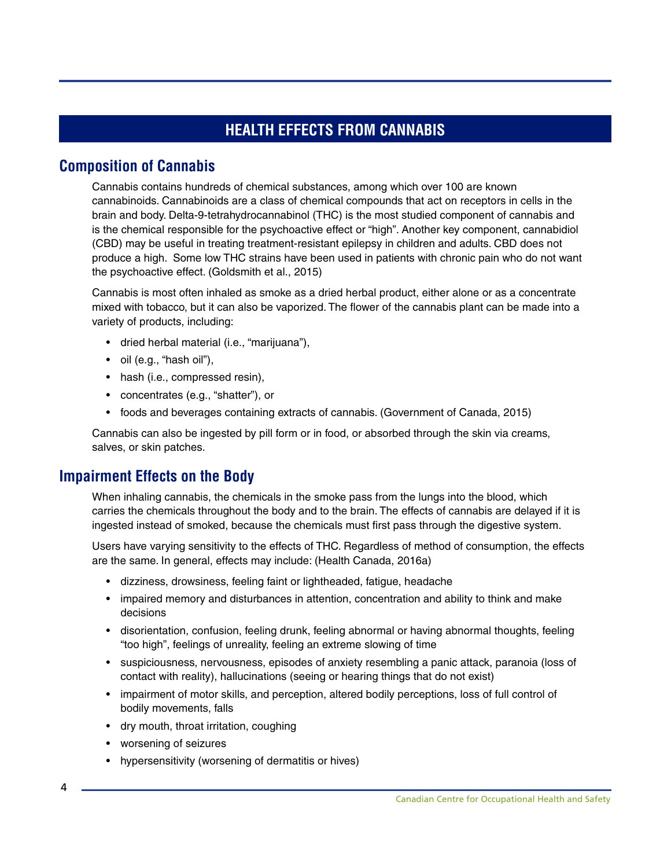# **HEALTH EFFECTS FROM CANNABIS**

### <span id="page-5-0"></span>**Composition of Cannabis**

Cannabis contains hundreds of chemical substances, among which over 100 are known cannabinoids. Cannabinoids are a class of chemical compounds that act on receptors in cells in the brain and body. Delta-9-tetrahydrocannabinol (THC) is the most studied component of cannabis and is the chemical responsible for the psychoactive effect or "high". Another key component, cannabidiol (CBD) may be useful in treating treatment-resistant epilepsy in children and adults. CBD does not produce a high. Some low THC strains have been used in patients with chronic pain who do not want the psychoactive effect. (Goldsmith et al., 2015)

Cannabis is most often inhaled as smoke as a dried herbal product, either alone or as a concentrate mixed with tobacco, but it can also be vaporized. The flower of the cannabis plant can be made into a variety of products, including:

- dried herbal material (i.e., "marijuana"),
- oil (e.g., "hash oil"),
- hash (i.e., compressed resin),
- concentrates (e.g., "shatter"), or
- foods and beverages containing extracts of cannabis. (Government of Canada, 2015)

Cannabis can also be ingested by pill form or in food, or absorbed through the skin via creams, salves, or skin patches.

### **Impairment Effects on the Body**

When inhaling cannabis, the chemicals in the smoke pass from the lungs into the blood, which carries the chemicals throughout the body and to the brain. The effects of cannabis are delayed if it is ingested instead of smoked, because the chemicals must first pass through the digestive system.

Users have varying sensitivity to the effects of THC. Regardless of method of consumption, the effects are the same. In general, effects may include: (Health Canada, 2016a)

- dizziness, drowsiness, feeling faint or lightheaded, fatigue, headache
- impaired memory and disturbances in attention, concentration and ability to think and make decisions
- disorientation, confusion, feeling drunk, feeling abnormal or having abnormal thoughts, feeling "too high", feelings of unreality, feeling an extreme slowing of time
- suspiciousness, nervousness, episodes of anxiety resembling a panic attack, paranoia (loss of contact with reality), hallucinations (seeing or hearing things that do not exist)
- impairment of motor skills, and perception, altered bodily perceptions, loss of full control of bodily movements, falls
- dry mouth, throat irritation, coughing
- worsening of seizures
- hypersensitivity (worsening of dermatitis or hives)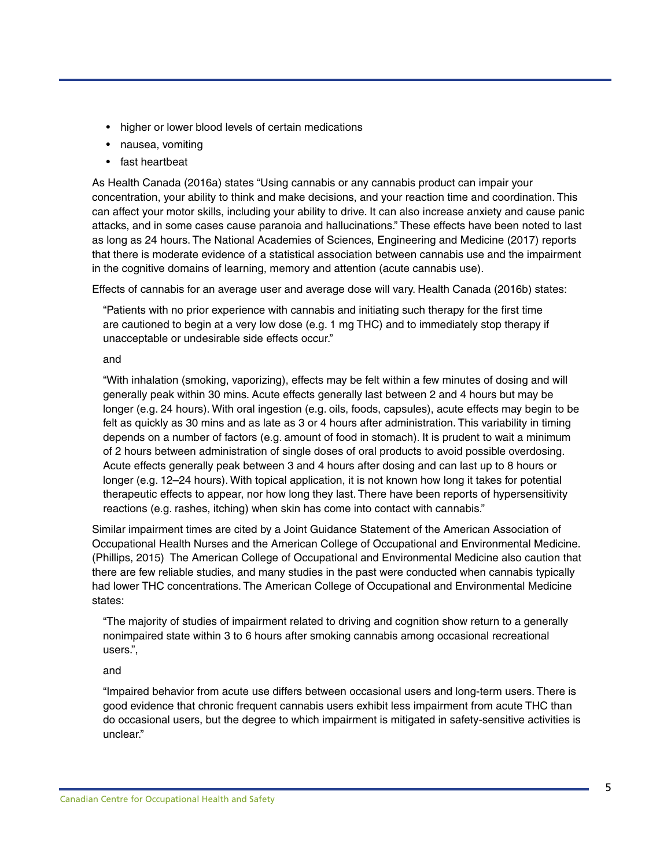- higher or lower blood levels of certain medications
- nausea, vomiting
- fast heartbeat

As Health Canada (2016a) states "Using cannabis or any cannabis product can impair your concentration, your ability to think and make decisions, and your reaction time and coordination. This can affect your motor skills, including your ability to drive. It can also increase anxiety and cause panic attacks, and in some cases cause paranoia and hallucinations." These effects have been noted to last as long as 24 hours. The National Academies of Sciences, Engineering and Medicine (2017) reports that there is moderate evidence of a statistical association between cannabis use and the impairment in the cognitive domains of learning, memory and attention (acute cannabis use).

Effects of cannabis for an average user and average dose will vary. Health Canada (2016b) states:

"Patients with no prior experience with cannabis and initiating such therapy for the first time are cautioned to begin at a very low dose (e.g. 1 mg THC) and to immediately stop therapy if unacceptable or undesirable side effects occur."

#### and

"With inhalation (smoking, vaporizing), effects may be felt within a few minutes of dosing and will generally peak within 30 mins. Acute effects generally last between 2 and 4 hours but may be longer (e.g. 24 hours). With oral ingestion (e.g. oils, foods, capsules), acute effects may begin to be felt as quickly as 30 mins and as late as 3 or 4 hours after administration. This variability in timing depends on a number of factors (e.g. amount of food in stomach). It is prudent to wait a minimum of 2 hours between administration of single doses of oral products to avoid possible overdosing. Acute effects generally peak between 3 and 4 hours after dosing and can last up to 8 hours or longer (e.g. 12–24 hours). With topical application, it is not known how long it takes for potential therapeutic effects to appear, nor how long they last. There have been reports of hypersensitivity reactions (e.g. rashes, itching) when skin has come into contact with cannabis."

Similar impairment times are cited by a Joint Guidance Statement of the American Association of Occupational Health Nurses and the American College of Occupational and Environmental Medicine. (Phillips, 2015) The American College of Occupational and Environmental Medicine also caution that there are few reliable studies, and many studies in the past were conducted when cannabis typically had lower THC concentrations. The American College of Occupational and Environmental Medicine states:

"The majority of studies of impairment related to driving and cognition show return to a generally nonimpaired state within 3 to 6 hours after smoking cannabis among occasional recreational users.",

#### and

"Impaired behavior from acute use differs between occasional users and long-term users. There is good evidence that chronic frequent cannabis users exhibit less impairment from acute THC than do occasional users, but the degree to which impairment is mitigated in safety-sensitive activities is unclear."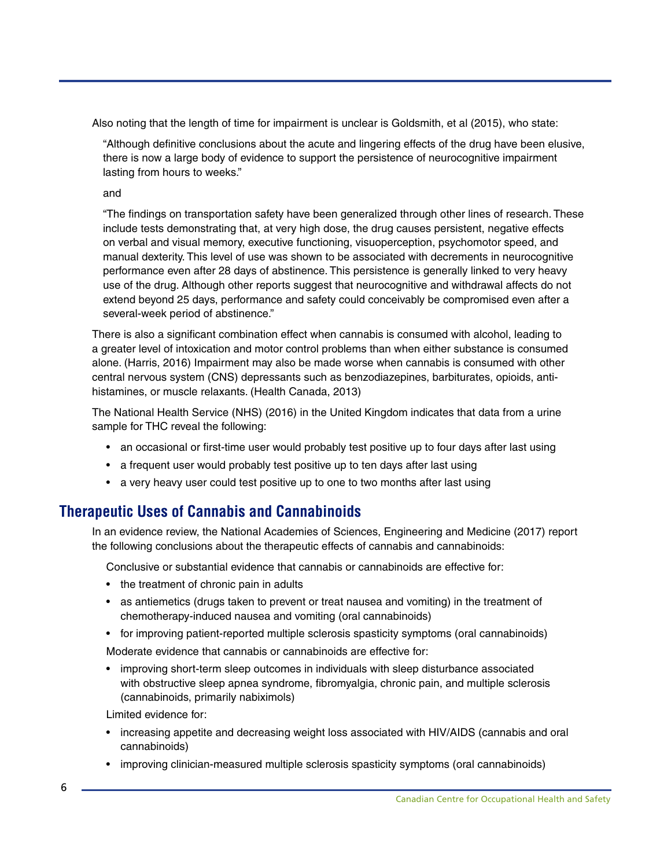<span id="page-7-0"></span>Also noting that the length of time for impairment is unclear is Goldsmith, et al (2015), who state:

"Although definitive conclusions about the acute and lingering effects of the drug have been elusive, there is now a large body of evidence to support the persistence of neurocognitive impairment lasting from hours to weeks."

and

"The findings on transportation safety have been generalized through other lines of research. These include tests demonstrating that, at very high dose, the drug causes persistent, negative effects on verbal and visual memory, executive functioning, visuoperception, psychomotor speed, and manual dexterity. This level of use was shown to be associated with decrements in neurocognitive performance even after 28 days of abstinence. This persistence is generally linked to very heavy use of the drug. Although other reports suggest that neurocognitive and withdrawal affects do not extend beyond 25 days, performance and safety could conceivably be compromised even after a several-week period of abstinence."

There is also a significant combination effect when cannabis is consumed with alcohol, leading to a greater level of intoxication and motor control problems than when either substance is consumed alone. (Harris, 2016) Impairment may also be made worse when cannabis is consumed with other central nervous system (CNS) depressants such as benzodiazepines, barbiturates, opioids, antihistamines, or muscle relaxants. (Health Canada, 2013)

The National Health Service (NHS) (2016) in the United Kingdom indicates that data from a urine sample for THC reveal the following:

- an occasional or first-time user would probably test positive up to four days after last using
- a frequent user would probably test positive up to ten days after last using
- a very heavy user could test positive up to one to two months after last using

### **Therapeutic Uses of Cannabis and Cannabinoids**

In an evidence review, the National Academies of Sciences, Engineering and Medicine (2017) report the following conclusions about the therapeutic effects of cannabis and cannabinoids:

Conclusive or substantial evidence that cannabis or cannabinoids are effective for:

- the treatment of chronic pain in adults
- as antiemetics (drugs taken to prevent or treat nausea and vomiting) in the treatment of chemotherapy-induced nausea and vomiting (oral cannabinoids)
- for improving patient-reported multiple sclerosis spasticity symptoms (oral cannabinoids)

Moderate evidence that cannabis or cannabinoids are effective for:

• improving short-term sleep outcomes in individuals with sleep disturbance associated with obstructive sleep apnea syndrome, fibromyalgia, chronic pain, and multiple sclerosis (cannabinoids, primarily nabiximols)

Limited evidence for:

- increasing appetite and decreasing weight loss associated with HIV/AIDS (cannabis and oral cannabinoids)
- improving clinician-measured multiple sclerosis spasticity symptoms (oral cannabinoids)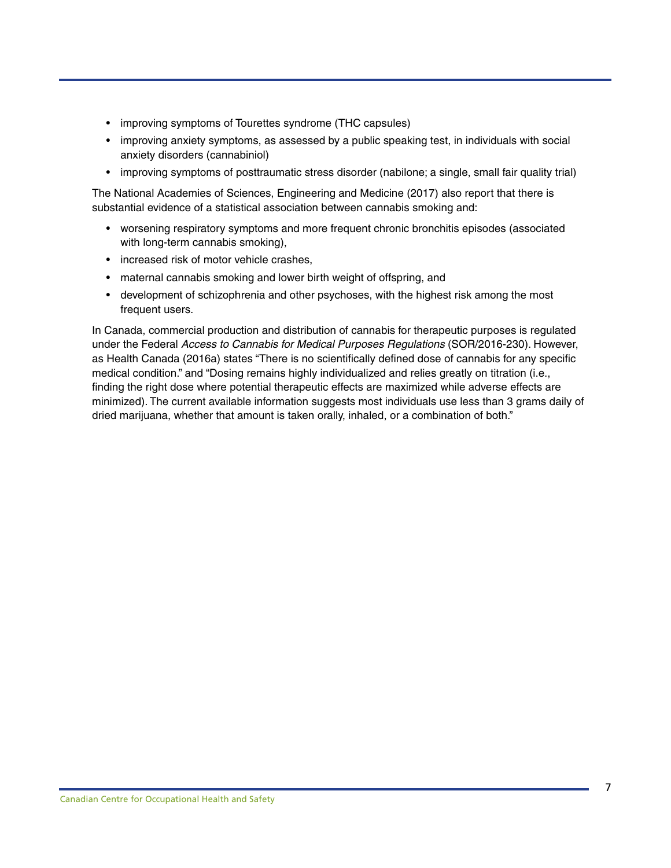- improving symptoms of Tourettes syndrome (THC capsules)
- improving anxiety symptoms, as assessed by a public speaking test, in individuals with social anxiety disorders (cannabiniol)
- improving symptoms of posttraumatic stress disorder (nabilone; a single, small fair quality trial)

The National Academies of Sciences, Engineering and Medicine (2017) also report that there is substantial evidence of a statistical association between cannabis smoking and:

- worsening respiratory symptoms and more frequent chronic bronchitis episodes (associated with long-term cannabis smoking),
- increased risk of motor vehicle crashes,
- maternal cannabis smoking and lower birth weight of offspring, and
- development of schizophrenia and other psychoses, with the highest risk among the most frequent users.

In Canada, commercial production and distribution of cannabis for therapeutic purposes is regulated under the Federal *Access to Cannabis for Medical Purposes Regulations* (SOR/2016-230). However, as Health Canada (2016a) states "There is no scientifically defined dose of cannabis for any specific medical condition." and "Dosing remains highly individualized and relies greatly on titration (i.e., finding the right dose where potential therapeutic effects are maximized while adverse effects are minimized). The current available information suggests most individuals use less than 3 grams daily of dried marijuana, whether that amount is taken orally, inhaled, or a combination of both."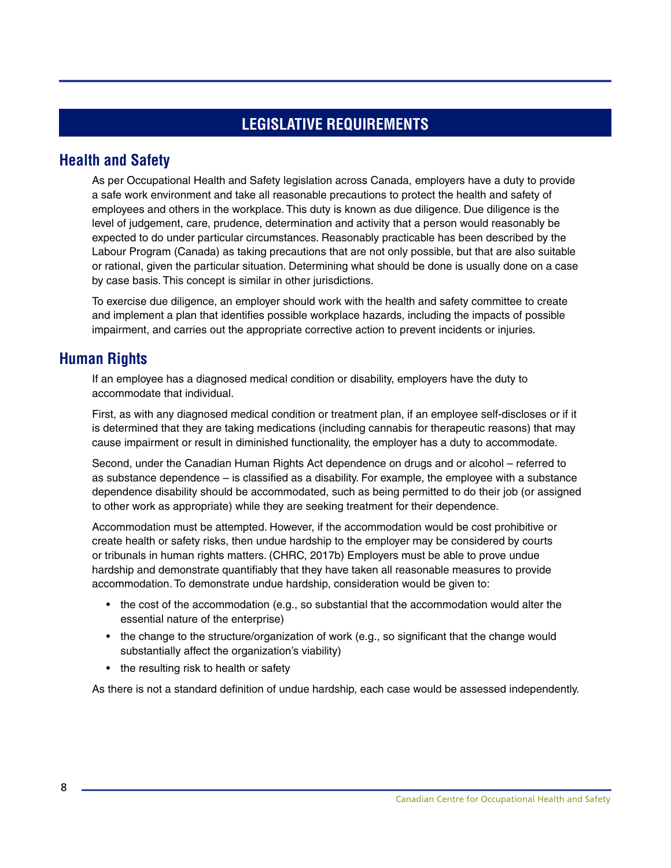### **LEGISLATIVE REQUIREMENTS**

### <span id="page-9-0"></span>**Health and Safety**

As per Occupational Health and Safety legislation across Canada, employers have a duty to provide a safe work environment and take all reasonable precautions to protect the health and safety of employees and others in the workplace. This duty is known as due diligence. Due diligence is the level of judgement, care, prudence, determination and activity that a person would reasonably be expected to do under particular circumstances. Reasonably practicable has been described by the Labour Program (Canada) as taking precautions that are not only possible, but that are also suitable or rational, given the particular situation. Determining what should be done is usually done on a case by case basis. This concept is similar in other jurisdictions.

To exercise due diligence, an employer should work with the health and safety committee to create and implement a plan that identifies possible workplace hazards, including the impacts of possible impairment, and carries out the appropriate corrective action to prevent incidents or injuries.

### **Human Rights**

If an employee has a diagnosed medical condition or disability, employers have the duty to accommodate that individual.

First, as with any diagnosed medical condition or treatment plan, if an employee self-discloses or if it is determined that they are taking medications (including cannabis for therapeutic reasons) that may cause impairment or result in diminished functionality, the employer has a duty to accommodate.

Second, under the Canadian Human Rights Act dependence on drugs and or alcohol – referred to as substance dependence – is classified as a disability. For example, the employee with a substance dependence disability should be accommodated, such as being permitted to do their job (or assigned to other work as appropriate) while they are seeking treatment for their dependence.

Accommodation must be attempted. However, if the accommodation would be cost prohibitive or create health or safety risks, then undue hardship to the employer may be considered by courts or tribunals in human rights matters. (CHRC, 2017b) Employers must be able to prove undue hardship and demonstrate quantifiably that they have taken all reasonable measures to provide accommodation. To demonstrate undue hardship, consideration would be given to:

- the cost of the accommodation (e.g., so substantial that the accommodation would alter the essential nature of the enterprise)
- the change to the structure/organization of work (e.g., so significant that the change would substantially affect the organization's viability)
- the resulting risk to health or safety

As there is not a standard definition of undue hardship, each case would be assessed independently.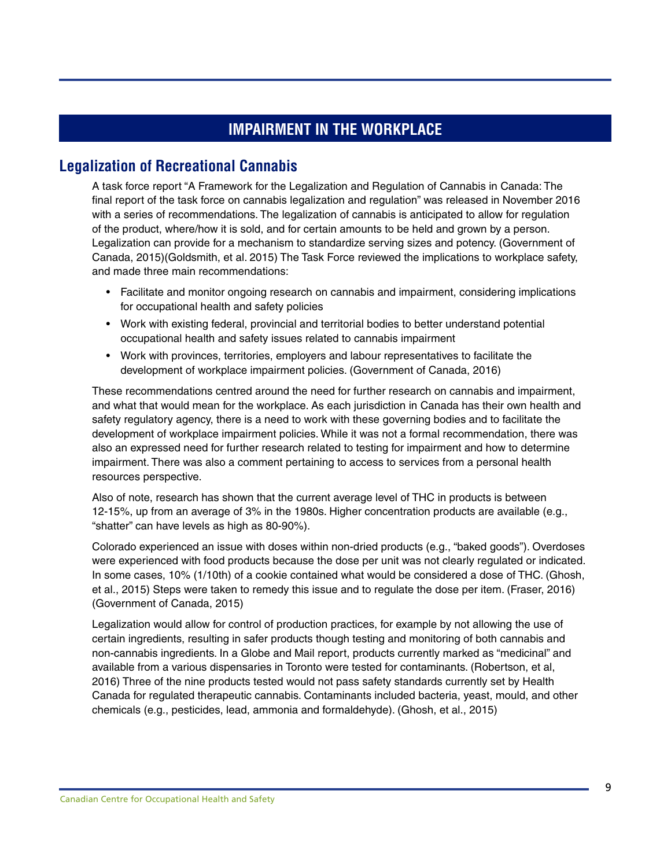# **IMPAIRMENT IN THE WORKPLACE**

### <span id="page-10-0"></span>**Legalization of Recreational Cannabis**

A task force report "A Framework for the Legalization and Regulation of Cannabis in Canada: The final report of the task force on cannabis legalization and regulation" was released in November 2016 with a series of recommendations. The legalization of cannabis is anticipated to allow for regulation of the product, where/how it is sold, and for certain amounts to be held and grown by a person. Legalization can provide for a mechanism to standardize serving sizes and potency. (Government of Canada, 2015)(Goldsmith, et al. 2015) The Task Force reviewed the implications to workplace safety, and made three main recommendations:

- Facilitate and monitor ongoing research on cannabis and impairment, considering implications for occupational health and safety policies
- Work with existing federal, provincial and territorial bodies to better understand potential occupational health and safety issues related to cannabis impairment
- Work with provinces, territories, employers and labour representatives to facilitate the development of workplace impairment policies. (Government of Canada, 2016)

These recommendations centred around the need for further research on cannabis and impairment, and what that would mean for the workplace. As each jurisdiction in Canada has their own health and safety regulatory agency, there is a need to work with these governing bodies and to facilitate the development of workplace impairment policies. While it was not a formal recommendation, there was also an expressed need for further research related to testing for impairment and how to determine impairment. There was also a comment pertaining to access to services from a personal health resources perspective.

Also of note, research has shown that the current average level of THC in products is between 12-15%, up from an average of 3% in the 1980s. Higher concentration products are available (e.g., "shatter" can have levels as high as 80-90%).

Colorado experienced an issue with doses within non-dried products (e.g., "baked goods"). Overdoses were experienced with food products because the dose per unit was not clearly regulated or indicated. In some cases, 10% (1/10th) of a cookie contained what would be considered a dose of THC. (Ghosh, et al., 2015) Steps were taken to remedy this issue and to regulate the dose per item. (Fraser, 2016) (Government of Canada, 2015)

Legalization would allow for control of production practices, for example by not allowing the use of certain ingredients, resulting in safer products though testing and monitoring of both cannabis and non-cannabis ingredients. In a Globe and Mail report, products currently marked as "medicinal" and available from a various dispensaries in Toronto were tested for contaminants. (Robertson, et al, 2016) Three of the nine products tested would not pass safety standards currently set by Health Canada for regulated therapeutic cannabis. Contaminants included bacteria, yeast, mould, and other chemicals (e.g., pesticides, lead, ammonia and formaldehyde). (Ghosh, et al., 2015)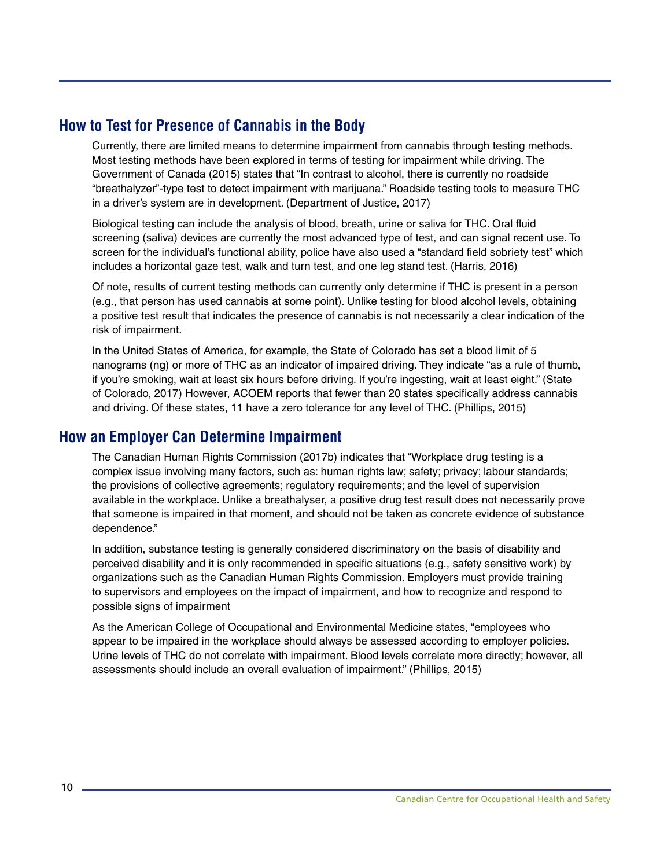### <span id="page-11-0"></span>**How to Test for Presence of Cannabis in the Body**

Currently, there are limited means to determine impairment from cannabis through testing methods. Most testing methods have been explored in terms of testing for impairment while driving. The Government of Canada (2015) states that "In contrast to alcohol, there is currently no roadside "breathalyzer"-type test to detect impairment with marijuana." Roadside testing tools to measure THC in a driver's system are in development. (Department of Justice, 2017)

Biological testing can include the analysis of blood, breath, urine or saliva for THC. Oral fluid screening (saliva) devices are currently the most advanced type of test, and can signal recent use. To screen for the individual's functional ability, police have also used a "standard field sobriety test" which includes a horizontal gaze test, walk and turn test, and one leg stand test. (Harris, 2016)

Of note, results of current testing methods can currently only determine if THC is present in a person (e.g., that person has used cannabis at some point). Unlike testing for blood alcohol levels, obtaining a positive test result that indicates the presence of cannabis is not necessarily a clear indication of the risk of impairment.

In the United States of America, for example, the State of Colorado has set a blood limit of 5 nanograms (ng) or more of THC as an indicator of impaired driving. They indicate "as a rule of thumb, if you're smoking, wait at least six hours before driving. If you're ingesting, wait at least eight." (State of Colorado, 2017) However, ACOEM reports that fewer than 20 states specifically address cannabis and driving. Of these states, 11 have a zero tolerance for any level of THC. (Phillips, 2015)

### **How an Employer Can Determine Impairment**

The Canadian Human Rights Commission (2017b) indicates that "Workplace drug testing is a complex issue involving many factors, such as: human rights law; safety; privacy; labour standards; the provisions of collective agreements; regulatory requirements; and the level of supervision available in the workplace. Unlike a breathalyser, a positive drug test result does not necessarily prove that someone is impaired in that moment, and should not be taken as concrete evidence of substance dependence."

In addition, substance testing is generally considered discriminatory on the basis of disability and perceived disability and it is only recommended in specific situations (e.g., safety sensitive work) by organizations such as the Canadian Human Rights Commission. Employers must provide training to supervisors and employees on the impact of impairment, and how to recognize and respond to possible signs of impairment

As the American College of Occupational and Environmental Medicine states, "employees who appear to be impaired in the workplace should always be assessed according to employer policies. Urine levels of THC do not correlate with impairment. Blood levels correlate more directly; however, all assessments should include an overall evaluation of impairment." (Phillips, 2015)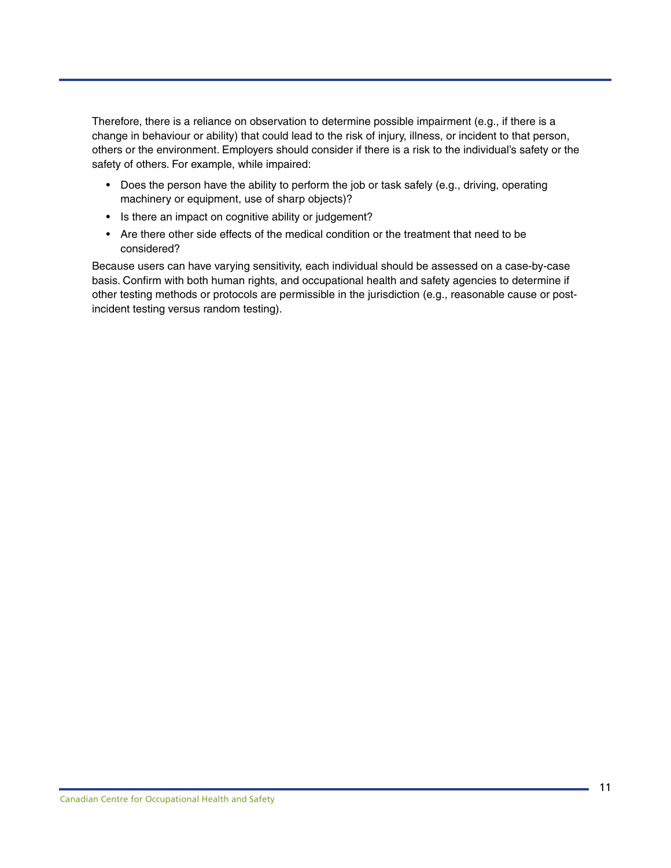Therefore, there is a reliance on observation to determine possible impairment (e.g., if there is a change in behaviour or ability) that could lead to the risk of injury, illness, or incident to that person, others or the environment. Employers should consider if there is a risk to the individual's safety or the safety of others. For example, while impaired:

- Does the person have the ability to perform the job or task safely (e.g., driving, operating machinery or equipment, use of sharp objects)?
- Is there an impact on cognitive ability or judgement?
- Are there other side effects of the medical condition or the treatment that need to be considered?

Because users can have varying sensitivity, each individual should be assessed on a case-by-case basis. Confirm with both human rights, and occupational health and safety agencies to determine if other testing methods or protocols are permissible in the jurisdiction (e.g., reasonable cause or postincident testing versus random testing).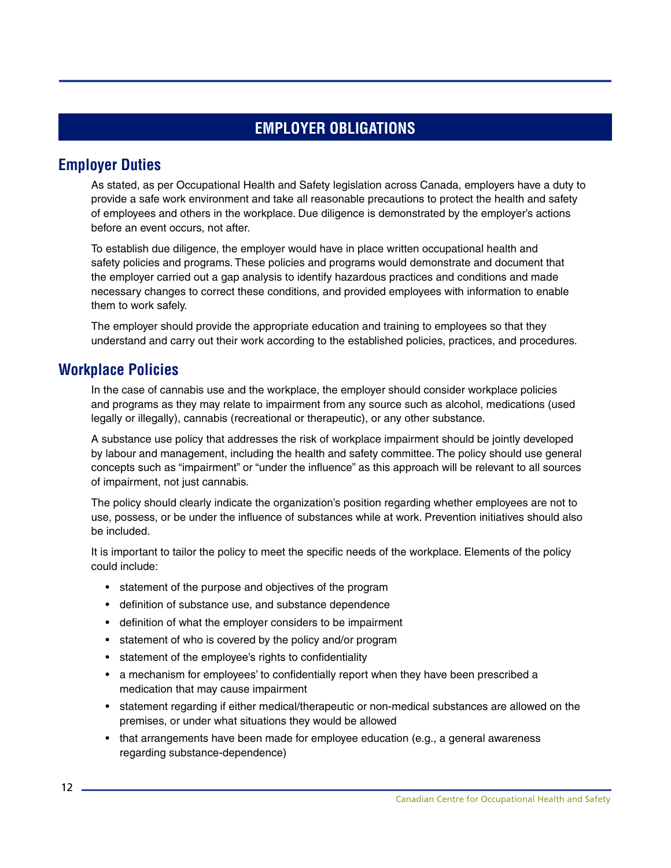# **EMPLOYER OBLIGATIONS**

### <span id="page-13-0"></span>**Employer Duties**

As stated, as per Occupational Health and Safety legislation across Canada, employers have a duty to provide a safe work environment and take all reasonable precautions to protect the health and safety of employees and others in the workplace. Due diligence is demonstrated by the employer's actions before an event occurs, not after.

To establish due diligence, the employer would have in place written occupational health and safety policies and programs. These policies and programs would demonstrate and document that the employer carried out a gap analysis to identify hazardous practices and conditions and made necessary changes to correct these conditions, and provided employees with information to enable them to work safely.

The employer should provide the appropriate education and training to employees so that they understand and carry out their work according to the established policies, practices, and procedures.

### **Workplace Policies**

In the case of cannabis use and the workplace, the employer should consider workplace policies and programs as they may relate to impairment from any source such as alcohol, medications (used legally or illegally), cannabis (recreational or therapeutic), or any other substance.

A substance use policy that addresses the risk of workplace impairment should be jointly developed by labour and management, including the health and safety committee. The policy should use general concepts such as "impairment" or "under the influence" as this approach will be relevant to all sources of impairment, not just cannabis.

The policy should clearly indicate the organization's position regarding whether employees are not to use, possess, or be under the influence of substances while at work. Prevention initiatives should also be included.

It is important to tailor the policy to meet the specific needs of the workplace. Elements of the policy could include:

- statement of the purpose and objectives of the program
- definition of substance use, and substance dependence
- definition of what the employer considers to be impairment
- statement of who is covered by the policy and/or program
- statement of the employee's rights to confidentiality
- a mechanism for employees' to confidentially report when they have been prescribed a medication that may cause impairment
- statement regarding if either medical/therapeutic or non-medical substances are allowed on the premises, or under what situations they would be allowed
- that arrangements have been made for employee education (e.g., a general awareness regarding substance-dependence)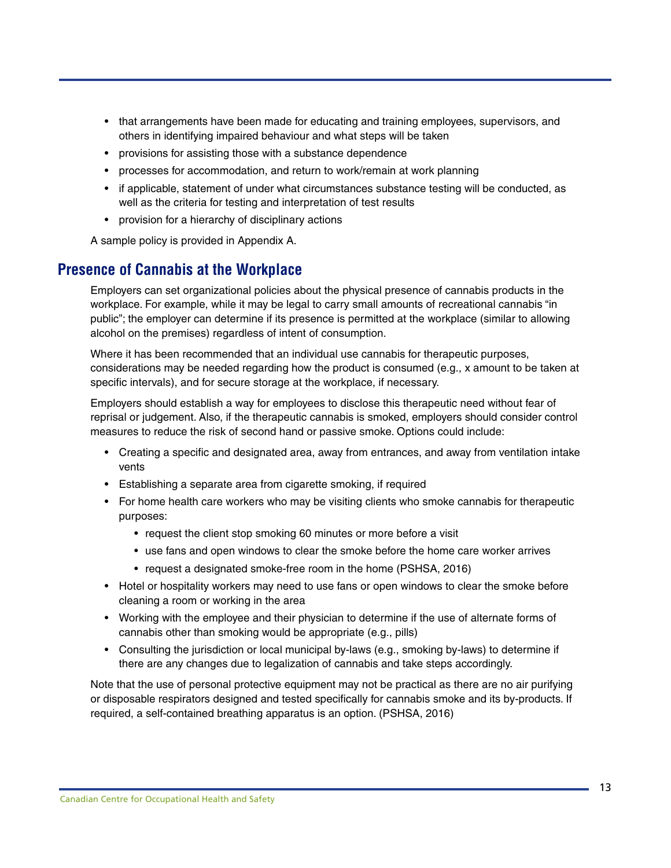- <span id="page-14-0"></span>• that arrangements have been made for educating and training employees, supervisors, and others in identifying impaired behaviour and what steps will be taken
- provisions for assisting those with a substance dependence
- processes for accommodation, and return to work/remain at work planning
- if applicable, statement of under what circumstances substance testing will be conducted, as well as the criteria for testing and interpretation of test results
- provision for a hierarchy of disciplinary actions

A sample policy is provided in Appendix A.

### **Presence of Cannabis at the Workplace**

Employers can set organizational policies about the physical presence of cannabis products in the workplace. For example, while it may be legal to carry small amounts of recreational cannabis "in public"; the employer can determine if its presence is permitted at the workplace (similar to allowing alcohol on the premises) regardless of intent of consumption.

Where it has been recommended that an individual use cannabis for therapeutic purposes, considerations may be needed regarding how the product is consumed (e.g., x amount to be taken at specific intervals), and for secure storage at the workplace, if necessary.

Employers should establish a way for employees to disclose this therapeutic need without fear of reprisal or judgement. Also, if the therapeutic cannabis is smoked, employers should consider control measures to reduce the risk of second hand or passive smoke. Options could include:

- Creating a specific and designated area, away from entrances, and away from ventilation intake vents
- Establishing a separate area from cigarette smoking, if required
- For home health care workers who may be visiting clients who smoke cannabis for therapeutic purposes:
	- request the client stop smoking 60 minutes or more before a visit
	- use fans and open windows to clear the smoke before the home care worker arrives
	- request a designated smoke-free room in the home (PSHSA, 2016)
- Hotel or hospitality workers may need to use fans or open windows to clear the smoke before cleaning a room or working in the area
- Working with the employee and their physician to determine if the use of alternate forms of cannabis other than smoking would be appropriate (e.g., pills)
- Consulting the jurisdiction or local municipal by-laws (e.g., smoking by-laws) to determine if there are any changes due to legalization of cannabis and take steps accordingly.

Note that the use of personal protective equipment may not be practical as there are no air purifying or disposable respirators designed and tested specifically for cannabis smoke and its by-products. If required, a self-contained breathing apparatus is an option. (PSHSA, 2016)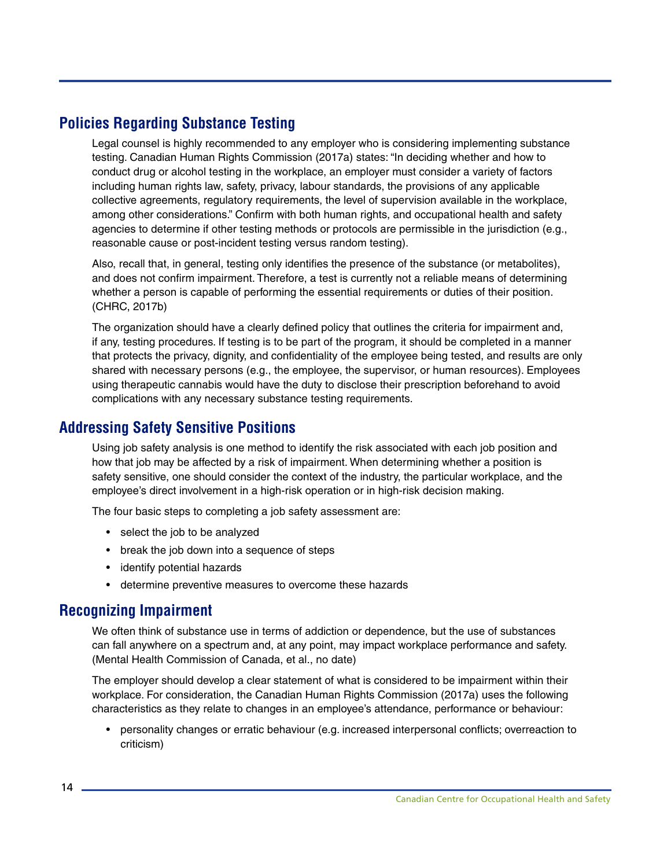### <span id="page-15-0"></span>**Policies Regarding Substance Testing**

Legal counsel is highly recommended to any employer who is considering implementing substance testing. Canadian Human Rights Commission (2017a) states: "In deciding whether and how to conduct drug or alcohol testing in the workplace, an employer must consider a variety of factors including human rights law, safety, privacy, labour standards, the provisions of any applicable collective agreements, regulatory requirements, the level of supervision available in the workplace, among other considerations." Confirm with both human rights, and occupational health and safety agencies to determine if other testing methods or protocols are permissible in the jurisdiction (e.g., reasonable cause or post-incident testing versus random testing).

Also, recall that, in general, testing only identifies the presence of the substance (or metabolites), and does not confirm impairment. Therefore, a test is currently not a reliable means of determining whether a person is capable of performing the essential requirements or duties of their position. (CHRC, 2017b)

The organization should have a clearly defined policy that outlines the criteria for impairment and, if any, testing procedures. If testing is to be part of the program, it should be completed in a manner that protects the privacy, dignity, and confidentiality of the employee being tested, and results are only shared with necessary persons (e.g., the employee, the supervisor, or human resources). Employees using therapeutic cannabis would have the duty to disclose their prescription beforehand to avoid complications with any necessary substance testing requirements.

### **Addressing Safety Sensitive Positions**

Using job safety analysis is one method to identify the risk associated with each job position and how that job may be affected by a risk of impairment. When determining whether a position is safety sensitive, one should consider the context of the industry, the particular workplace, and the employee's direct involvement in a high-risk operation or in high-risk decision making.

The four basic steps to completing a job safety assessment are:

- select the job to be analyzed
- break the job down into a sequence of steps
- identify potential hazards
- determine preventive measures to overcome these hazards

### **Recognizing Impairment**

We often think of substance use in terms of addiction or dependence, but the use of substances can fall anywhere on a spectrum and, at any point, may impact workplace performance and safety. (Mental Health Commission of Canada, et al., no date)

The employer should develop a clear statement of what is considered to be impairment within their workplace. For consideration, the Canadian Human Rights Commission (2017a) uses the following characteristics as they relate to changes in an employee's attendance, performance or behaviour:

• personality changes or erratic behaviour (e.g. increased interpersonal conflicts; overreaction to criticism)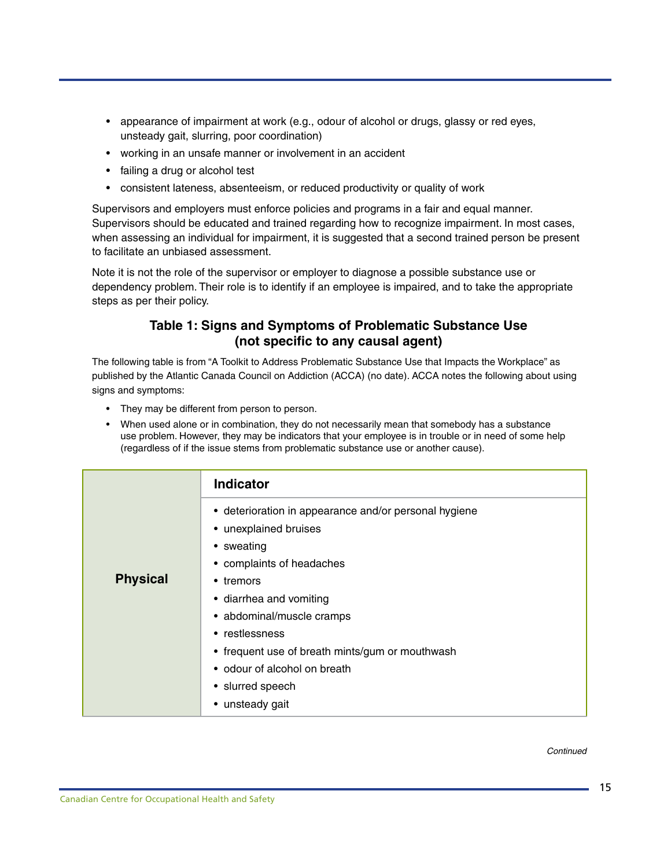- appearance of impairment at work (e.g., odour of alcohol or drugs, glassy or red eyes, unsteady gait, slurring, poor coordination)
- working in an unsafe manner or involvement in an accident
- failing a drug or alcohol test
- consistent lateness, absenteeism, or reduced productivity or quality of work

Supervisors and employers must enforce policies and programs in a fair and equal manner. Supervisors should be educated and trained regarding how to recognize impairment. In most cases, when assessing an individual for impairment, it is suggested that a second trained person be present to facilitate an unbiased assessment.

Note it is not the role of the supervisor or employer to diagnose a possible substance use or dependency problem. Their role is to identify if an employee is impaired, and to take the appropriate steps as per their policy.

### **Table 1: Signs and Symptoms of Problematic Substance Use (not specific to any causal agent)**

The following table is from "A Toolkit to Address Problematic Substance Use that Impacts the Workplace" as published by the Atlantic Canada Council on Addiction (ACCA) (no date). ACCA notes the following about using signs and symptoms:

- They may be different from person to person.
- When used alone or in combination, they do not necessarily mean that somebody has a substance use problem. However, they may be indicators that your employee is in trouble or in need of some help (regardless of if the issue stems from problematic substance use or another cause).

|                 | <b>Indicator</b>                                                                                                                                                                                                                                                                                                                           |
|-----------------|--------------------------------------------------------------------------------------------------------------------------------------------------------------------------------------------------------------------------------------------------------------------------------------------------------------------------------------------|
| <b>Physical</b> | • deterioration in appearance and/or personal hygiene<br>• unexplained bruises<br>• sweating<br>• complaints of headaches<br>• tremors<br>• diarrhea and vomiting<br>• abdominal/muscle cramps<br>• restlessness<br>• frequent use of breath mints/gum or mouthwash<br>• odour of alcohol on breath<br>• slurred speech<br>• unsteady gait |

#### *Continued*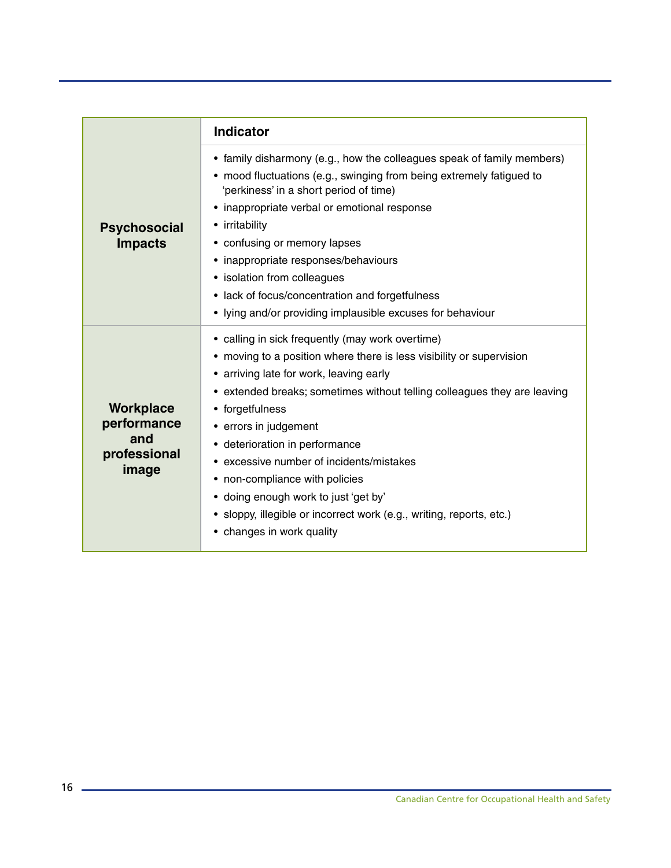|                                                          | <b>Indicator</b>                                                                                                                                                                                                                                                                                                                                                                                                                                                                                                                                     |
|----------------------------------------------------------|------------------------------------------------------------------------------------------------------------------------------------------------------------------------------------------------------------------------------------------------------------------------------------------------------------------------------------------------------------------------------------------------------------------------------------------------------------------------------------------------------------------------------------------------------|
| <b>Psychosocial</b><br><b>Impacts</b>                    | • family disharmony (e.g., how the colleagues speak of family members)<br>• mood fluctuations (e.g., swinging from being extremely fatigued to<br>'perkiness' in a short period of time)<br>inappropriate verbal or emotional response<br>• irritability<br>• confusing or memory lapses<br>• inappropriate responses/behaviours<br>• isolation from colleagues<br>• lack of focus/concentration and forgetfulness<br>• lying and/or providing implausible excuses for behaviour                                                                     |
| Workplace<br>performance<br>and<br>professional<br>image | • calling in sick frequently (may work overtime)<br>• moving to a position where there is less visibility or supervision<br>• arriving late for work, leaving early<br>extended breaks; sometimes without telling colleagues they are leaving<br>• forgetfulness<br>• errors in judgement<br>• deterioration in performance<br>excessive number of incidents/mistakes<br>• non-compliance with policies<br>• doing enough work to just 'get by'<br>• sloppy, illegible or incorrect work (e.g., writing, reports, etc.)<br>• changes in work quality |

<u> 1989 - Johann Barbara, martxa alemaniar a</u>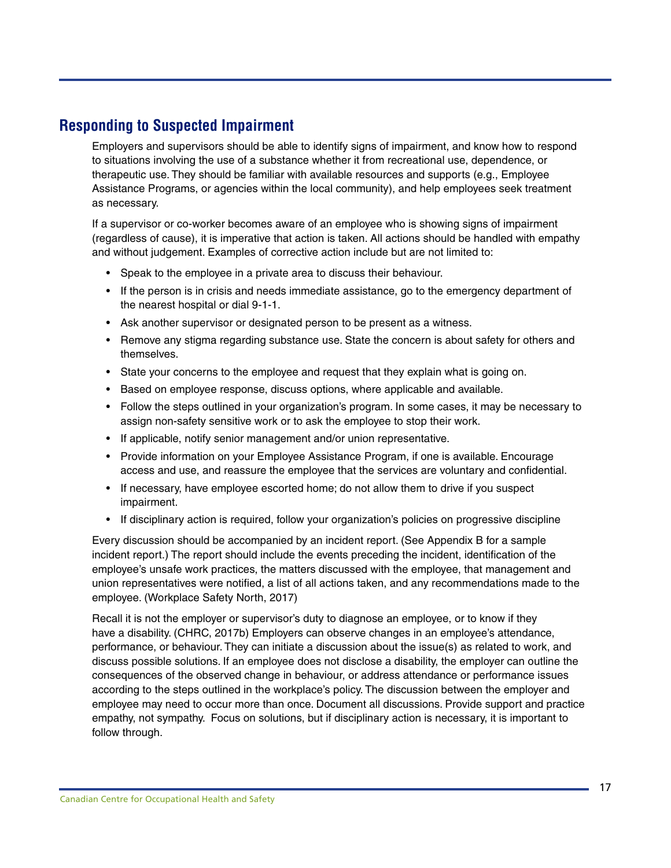### <span id="page-18-0"></span>**Responding to Suspected Impairment**

Employers and supervisors should be able to identify signs of impairment, and know how to respond to situations involving the use of a substance whether it from recreational use, dependence, or therapeutic use. They should be familiar with available resources and supports (e.g., Employee Assistance Programs, or agencies within the local community), and help employees seek treatment as necessary.

If a supervisor or co-worker becomes aware of an employee who is showing signs of impairment (regardless of cause), it is imperative that action is taken. All actions should be handled with empathy and without judgement. Examples of corrective action include but are not limited to:

- Speak to the employee in a private area to discuss their behaviour.
- If the person is in crisis and needs immediate assistance, go to the emergency department of the nearest hospital or dial 9-1-1.
- Ask another supervisor or designated person to be present as a witness.
- Remove any stigma regarding substance use. State the concern is about safety for others and themselves.
- State your concerns to the employee and request that they explain what is going on.
- Based on employee response, discuss options, where applicable and available.
- Follow the steps outlined in your organization's program. In some cases, it may be necessary to assign non-safety sensitive work or to ask the employee to stop their work.
- If applicable, notify senior management and/or union representative.
- Provide information on your Employee Assistance Program, if one is available. Encourage access and use, and reassure the employee that the services are voluntary and confidential.
- If necessary, have employee escorted home; do not allow them to drive if you suspect impairment.
- If disciplinary action is required, follow your organization's policies on progressive discipline

Every discussion should be accompanied by an incident report. (See Appendix B for a sample incident report.) The report should include the events preceding the incident, identification of the employee's unsafe work practices, the matters discussed with the employee, that management and union representatives were notified, a list of all actions taken, and any recommendations made to the employee. (Workplace Safety North, 2017)

Recall it is not the employer or supervisor's duty to diagnose an employee, or to know if they have a disability. (CHRC, 2017b) Employers can observe changes in an employee's attendance, performance, or behaviour. They can initiate a discussion about the issue(s) as related to work, and discuss possible solutions. If an employee does not disclose a disability, the employer can outline the consequences of the observed change in behaviour, or address attendance or performance issues according to the steps outlined in the workplace's policy. The discussion between the employer and employee may need to occur more than once. Document all discussions. Provide support and practice empathy, not sympathy. Focus on solutions, but if disciplinary action is necessary, it is important to follow through.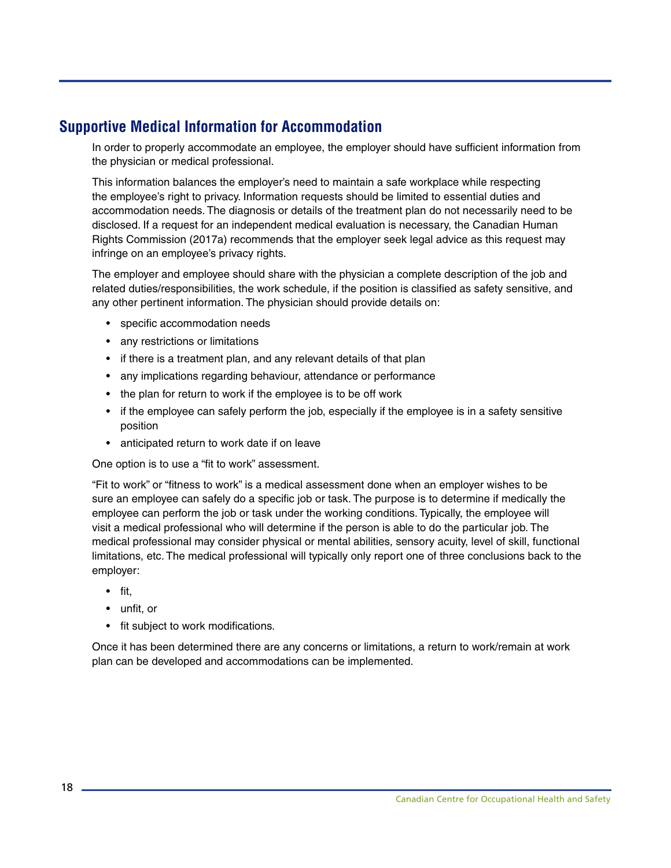### <span id="page-19-0"></span>**Supportive Medical Information for Accommodation**

In order to properly accommodate an employee, the employer should have sufficient information from the physician or medical professional.

This information balances the employer's need to maintain a safe workplace while respecting the employee's right to privacy. Information requests should be limited to essential duties and accommodation needs. The diagnosis or details of the treatment plan do not necessarily need to be disclosed. If a request for an independent medical evaluation is necessary, the Canadian Human Rights Commission (2017a) recommends that the employer seek legal advice as this request may infringe on an employee's privacy rights.

The employer and employee should share with the physician a complete description of the job and related duties/responsibilities, the work schedule, if the position is classified as safety sensitive, and any other pertinent information. The physician should provide details on:

- specific accommodation needs
- any restrictions or limitations
- if there is a treatment plan, and any relevant details of that plan
- any implications regarding behaviour, attendance or performance
- the plan for return to work if the employee is to be off work
- if the employee can safely perform the job, especially if the employee is in a safety sensitive position
- anticipated return to work date if on leave

One option is to use a "fit to work" assessment.

"Fit to work" or "fitness to work" is a medical assessment done when an employer wishes to be sure an employee can safely do a specific job or task. The purpose is to determine if medically the employee can perform the job or task under the working conditions. Typically, the employee will visit a medical professional who will determine if the person is able to do the particular job. The medical professional may consider physical or mental abilities, sensory acuity, level of skill, functional limitations, etc. The medical professional will typically only report one of three conclusions back to the employer:

- fit,
- unfit, or
- fit subject to work modifications.

Once it has been determined there are any concerns or limitations, a return to work/remain at work plan can be developed and accommodations can be implemented.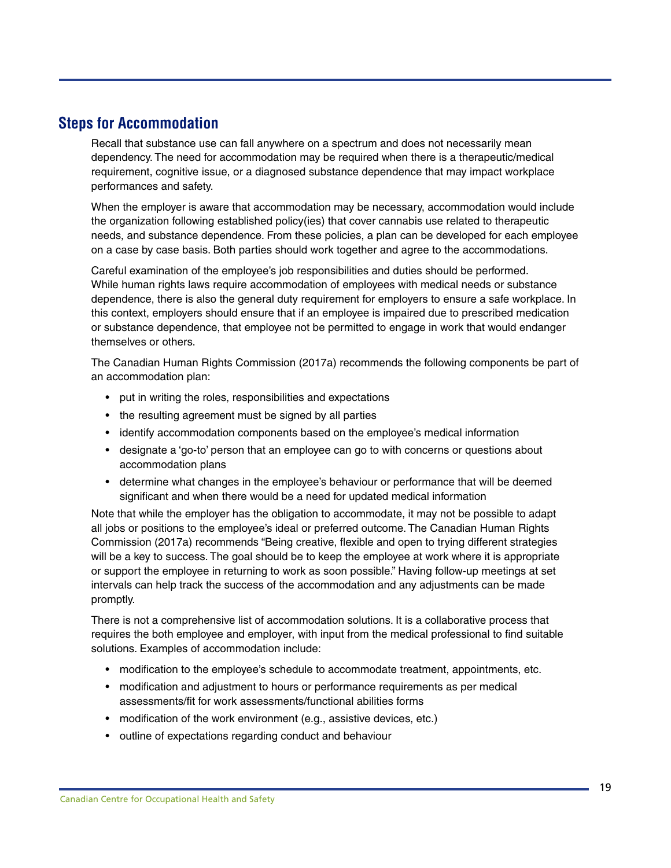### <span id="page-20-0"></span>**Steps for Accommodation**

Recall that substance use can fall anywhere on a spectrum and does not necessarily mean dependency. The need for accommodation may be required when there is a therapeutic/medical requirement, cognitive issue, or a diagnosed substance dependence that may impact workplace performances and safety.

When the employer is aware that accommodation may be necessary, accommodation would include the organization following established policy(ies) that cover cannabis use related to therapeutic needs, and substance dependence. From these policies, a plan can be developed for each employee on a case by case basis. Both parties should work together and agree to the accommodations.

Careful examination of the employee's job responsibilities and duties should be performed. While human rights laws require accommodation of employees with medical needs or substance dependence, there is also the general duty requirement for employers to ensure a safe workplace. In this context, employers should ensure that if an employee is impaired due to prescribed medication or substance dependence, that employee not be permitted to engage in work that would endanger themselves or others.

The Canadian Human Rights Commission (2017a) recommends the following components be part of an accommodation plan:

- put in writing the roles, responsibilities and expectations
- the resulting agreement must be signed by all parties
- identify accommodation components based on the employee's medical information
- designate a 'go-to' person that an employee can go to with concerns or questions about accommodation plans
- determine what changes in the employee's behaviour or performance that will be deemed significant and when there would be a need for updated medical information

Note that while the employer has the obligation to accommodate, it may not be possible to adapt all jobs or positions to the employee's ideal or preferred outcome. The Canadian Human Rights Commission (2017a) recommends "Being creative, flexible and open to trying different strategies will be a key to success. The goal should be to keep the employee at work where it is appropriate or support the employee in returning to work as soon possible." Having follow-up meetings at set intervals can help track the success of the accommodation and any adjustments can be made promptly.

There is not a comprehensive list of accommodation solutions. It is a collaborative process that requires the both employee and employer, with input from the medical professional to find suitable solutions. Examples of accommodation include:

- modification to the employee's schedule to accommodate treatment, appointments, etc.
- modification and adjustment to hours or performance requirements as per medical assessments/fit for work assessments/functional abilities forms
- modification of the work environment (e.g., assistive devices, etc.)
- outline of expectations regarding conduct and behaviour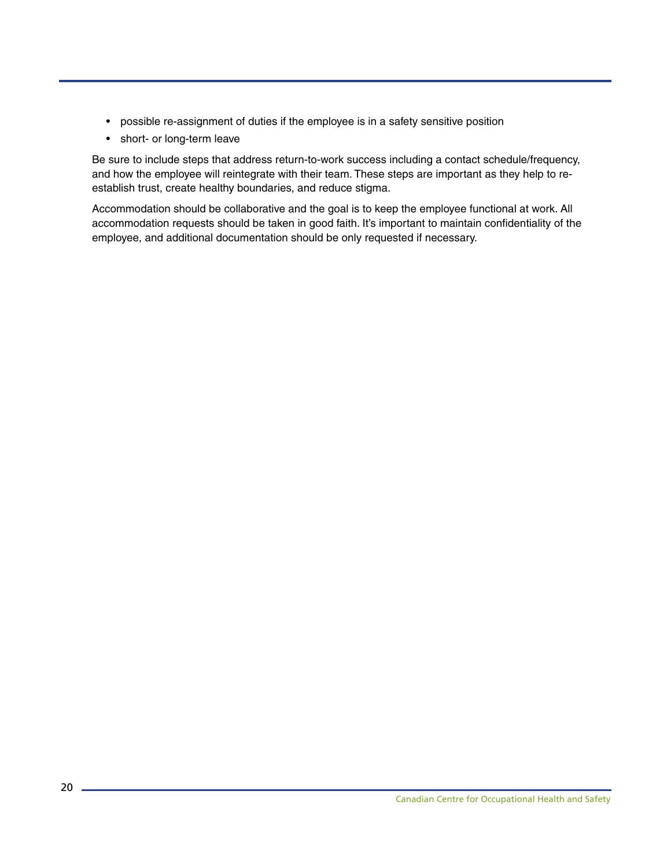- possible re-assignment of duties if the employee is in a safety sensitive position
- short- or long-term leave

Be sure to include steps that address return-to-work success including a contact schedule/frequency, and how the employee will reintegrate with their team. These steps are important as they help to reestablish trust, create healthy boundaries, and reduce stigma.

Accommodation should be collaborative and the goal is to keep the employee functional at work. All accommodation requests should be taken in good faith. It's important to maintain confidentiality of the employee, and additional documentation should be only requested if necessary.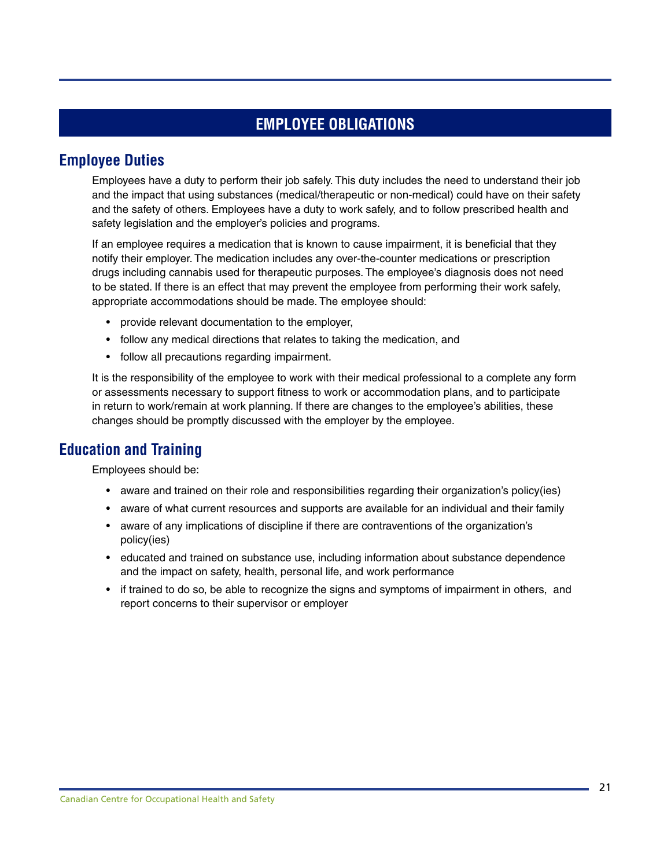### **EMPLOYEE OBLIGATIONS**

### <span id="page-22-0"></span>**Employee Duties**

Employees have a duty to perform their job safely. This duty includes the need to understand their job and the impact that using substances (medical/therapeutic or non-medical) could have on their safety and the safety of others. Employees have a duty to work safely, and to follow prescribed health and safety legislation and the employer's policies and programs.

If an employee requires a medication that is known to cause impairment, it is beneficial that they notify their employer. The medication includes any over-the-counter medications or prescription drugs including cannabis used for therapeutic purposes. The employee's diagnosis does not need to be stated. If there is an effect that may prevent the employee from performing their work safely, appropriate accommodations should be made. The employee should:

- provide relevant documentation to the employer,
- follow any medical directions that relates to taking the medication, and
- follow all precautions regarding impairment.

It is the responsibility of the employee to work with their medical professional to a complete any form or assessments necessary to support fitness to work or accommodation plans, and to participate in return to work/remain at work planning. If there are changes to the employee's abilities, these changes should be promptly discussed with the employer by the employee.

### **Education and Training**

Employees should be:

- aware and trained on their role and responsibilities regarding their organization's policy(ies)
- aware of what current resources and supports are available for an individual and their family
- aware of any implications of discipline if there are contraventions of the organization's policy(ies)
- educated and trained on substance use, including information about substance dependence and the impact on safety, health, personal life, and work performance
- if trained to do so, be able to recognize the signs and symptoms of impairment in others, and report concerns to their supervisor or employer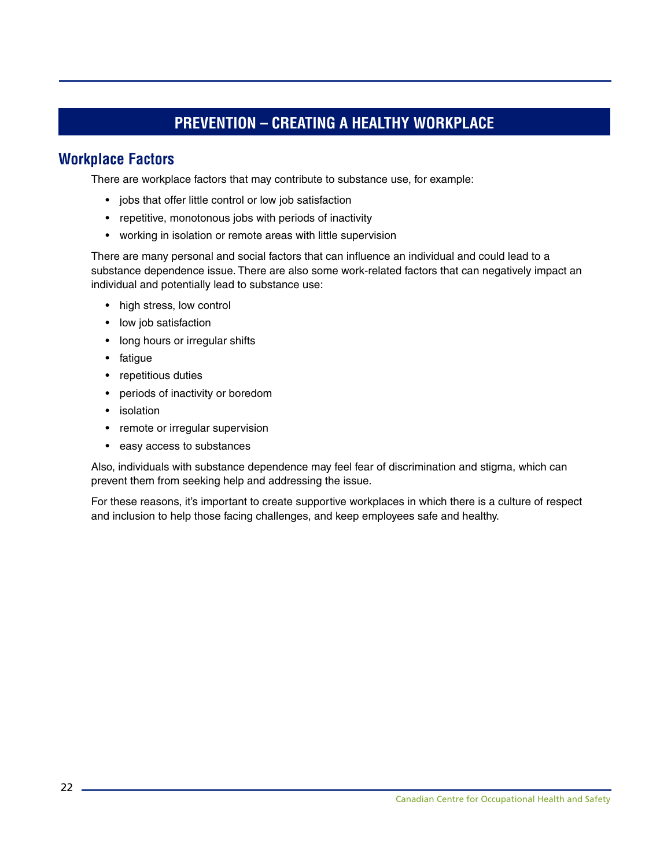### **PREVENTION – CREATING A HEALTHY WORKPLACE**

### <span id="page-23-0"></span>**Workplace Factors**

There are workplace factors that may contribute to substance use, for example:

- jobs that offer little control or low job satisfaction
- repetitive, monotonous jobs with periods of inactivity
- working in isolation or remote areas with little supervision

There are many personal and social factors that can influence an individual and could lead to a substance dependence issue. There are also some work-related factors that can negatively impact an individual and potentially lead to substance use:

- high stress, low control
- low job satisfaction
- long hours or irregular shifts
- fatigue
- repetitious duties
- periods of inactivity or boredom
- isolation
- remote or irregular supervision
- easy access to substances

Also, individuals with substance dependence may feel fear of discrimination and stigma, which can prevent them from seeking help and addressing the issue.

For these reasons, it's important to create supportive workplaces in which there is a culture of respect and inclusion to help those facing challenges, and keep employees safe and healthy.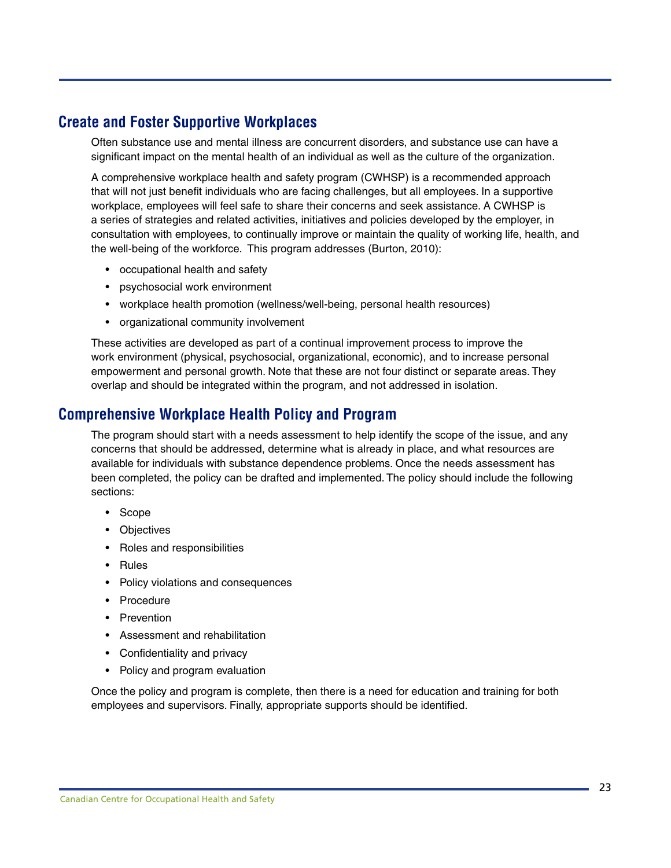### <span id="page-24-0"></span>**Create and Foster Supportive Workplaces**

Often substance use and mental illness are concurrent disorders, and substance use can have a significant impact on the mental health of an individual as well as the culture of the organization.

A comprehensive workplace health and safety program (CWHSP) is a recommended approach that will not just benefit individuals who are facing challenges, but all employees. In a supportive workplace, employees will feel safe to share their concerns and seek assistance. A CWHSP is a series of strategies and related activities, initiatives and policies developed by the employer, in consultation with employees, to continually improve or maintain the quality of working life, health, and the well-being of the workforce. This program addresses (Burton, 2010):

- occupational health and safety
- psychosocial work environment
- workplace health promotion (wellness/well-being, personal health resources)
- organizational community involvement

These activities are developed as part of a continual improvement process to improve the work environment (physical, psychosocial, organizational, economic), and to increase personal empowerment and personal growth. Note that these are not four distinct or separate areas. They overlap and should be integrated within the program, and not addressed in isolation.

### **Comprehensive Workplace Health Policy and Program**

The program should start with a needs assessment to help identify the scope of the issue, and any concerns that should be addressed, determine what is already in place, and what resources are available for individuals with substance dependence problems. Once the needs assessment has been completed, the policy can be drafted and implemented. The policy should include the following sections:

- Scope
- Objectives
- Roles and responsibilities
- Rules
- Policy violations and consequences
- Procedure
- Prevention
- Assessment and rehabilitation
- Confidentiality and privacy
- Policy and program evaluation

Once the policy and program is complete, then there is a need for education and training for both employees and supervisors. Finally, appropriate supports should be identified.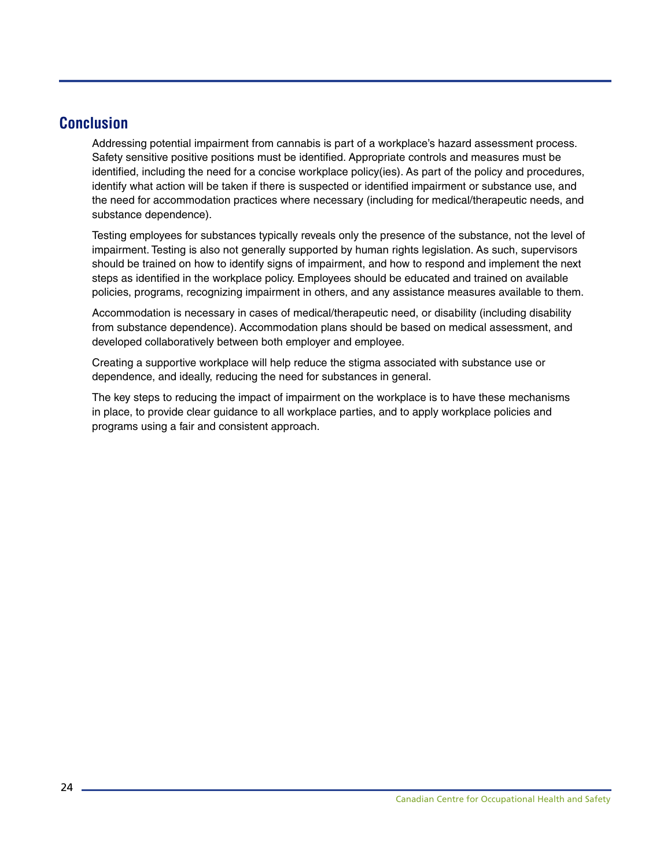### <span id="page-25-0"></span>**Conclusion**

Addressing potential impairment from cannabis is part of a workplace's hazard assessment process. Safety sensitive positive positions must be identified. Appropriate controls and measures must be identified, including the need for a concise workplace policy(ies). As part of the policy and procedures, identify what action will be taken if there is suspected or identified impairment or substance use, and the need for accommodation practices where necessary (including for medical/therapeutic needs, and substance dependence).

Testing employees for substances typically reveals only the presence of the substance, not the level of impairment. Testing is also not generally supported by human rights legislation. As such, supervisors should be trained on how to identify signs of impairment, and how to respond and implement the next steps as identified in the workplace policy. Employees should be educated and trained on available policies, programs, recognizing impairment in others, and any assistance measures available to them.

Accommodation is necessary in cases of medical/therapeutic need, or disability (including disability from substance dependence). Accommodation plans should be based on medical assessment, and developed collaboratively between both employer and employee.

Creating a supportive workplace will help reduce the stigma associated with substance use or dependence, and ideally, reducing the need for substances in general.

The key steps to reducing the impact of impairment on the workplace is to have these mechanisms in place, to provide clear guidance to all workplace parties, and to apply workplace policies and programs using a fair and consistent approach.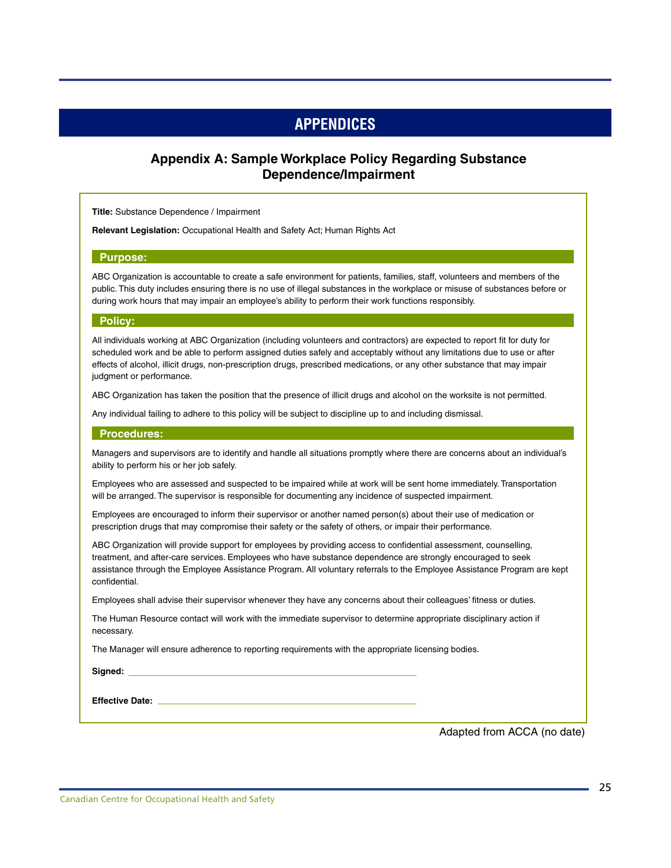### **APPENDICES**

### <span id="page-26-0"></span>**Appendix A: Sample Workplace Policy Regarding Substance Dependence/Impairment**

**Title:** Substance Dependence / Impairment

**Relevant Legislation:** Occupational Health and Safety Act; Human Rights Act

#### **Purpose:**

ABC Organization is accountable to create a safe environment for patients, families, staff, volunteers and members of the public. This duty includes ensuring there is no use of illegal substances in the workplace or misuse of substances before or during work hours that may impair an employee's ability to perform their work functions responsibly.

#### **Policy:**

All individuals working at ABC Organization (including volunteers and contractors) are expected to report fit for duty for scheduled work and be able to perform assigned duties safely and acceptably without any limitations due to use or after effects of alcohol, illicit drugs, non-prescription drugs, prescribed medications, or any other substance that may impair judgment or performance.

ABC Organization has taken the position that the presence of illicit drugs and alcohol on the worksite is not permitted.

Any individual failing to adhere to this policy will be subject to discipline up to and including dismissal.

#### **Procedures:**

Managers and supervisors are to identify and handle all situations promptly where there are concerns about an individual's ability to perform his or her job safely.

Employees who are assessed and suspected to be impaired while at work will be sent home immediately. Transportation will be arranged. The supervisor is responsible for documenting any incidence of suspected impairment.

Employees are encouraged to inform their supervisor or another named person(s) about their use of medication or prescription drugs that may compromise their safety or the safety of others, or impair their performance.

ABC Organization will provide support for employees by providing access to confidential assessment, counselling, treatment, and after-care services. Employees who have substance dependence are strongly encouraged to seek assistance through the Employee Assistance Program. All voluntary referrals to the Employee Assistance Program are kept confidential.

Employees shall advise their supervisor whenever they have any concerns about their colleagues' fitness or duties.

The Human Resource contact will work with the immediate supervisor to determine appropriate disciplinary action if necessary.

The Manager will ensure adherence to reporting requirements with the appropriate licensing bodies.

**Signed:**

**Effective Date:** 

Adapted from ACCA (no date)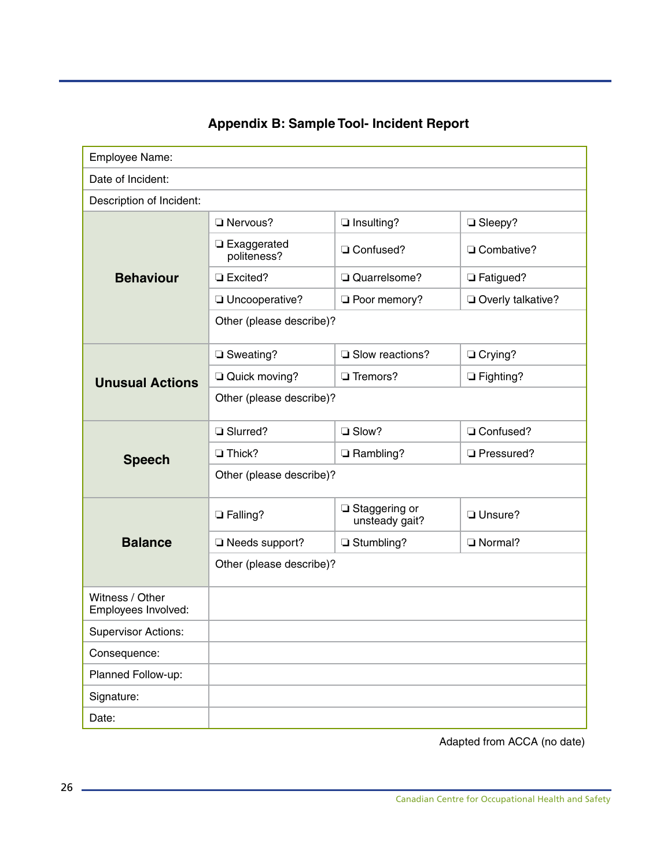# **Appendix B: Sample Tool- Incident Report**

<span id="page-27-0"></span>

| Employee Name:                         |                              |                                   |                   |  |  |  |
|----------------------------------------|------------------------------|-----------------------------------|-------------------|--|--|--|
| Date of Incident:                      |                              |                                   |                   |  |  |  |
| Description of Incident:               |                              |                                   |                   |  |  |  |
| <b>Behaviour</b>                       | Nervous?                     | $\Box$ Insulting?                 | □ Sleepy?         |  |  |  |
|                                        | □ Exaggerated<br>politeness? | □ Confused?                       | Combative?        |  |  |  |
|                                        | <b>La</b> Excited?           | Quarrelsome?                      | □ Fatigued?       |  |  |  |
|                                        | Uncooperative?               | Poor memory?                      | Overly talkative? |  |  |  |
|                                        | Other (please describe)?     |                                   |                   |  |  |  |
| <b>Unusual Actions</b>                 | □ Sweating?                  | Slow reactions?                   | O Crying?         |  |  |  |
|                                        | Quick moving?                | □ Tremors?                        | $\Box$ Fighting?  |  |  |  |
|                                        | Other (please describe)?     |                                   |                   |  |  |  |
| <b>Speech</b>                          | □ Slurred?                   | □ Slow?                           | □ Confused?       |  |  |  |
|                                        | $\Box$ Thick?                | Rambling?                         | Pressured?        |  |  |  |
|                                        | Other (please describe)?     |                                   |                   |  |  |  |
| <b>Balance</b>                         | <b>Q</b> Falling?            | □ Staggering or<br>unsteady gait? | Unsure?           |  |  |  |
|                                        | Needs support?               | □ Stumbling?                      | Normal?           |  |  |  |
|                                        | Other (please describe)?     |                                   |                   |  |  |  |
| Witness / Other<br>Employees Involved: |                              |                                   |                   |  |  |  |
| <b>Supervisor Actions:</b>             |                              |                                   |                   |  |  |  |
| Consequence:                           |                              |                                   |                   |  |  |  |
| Planned Follow-up:                     |                              |                                   |                   |  |  |  |
| Signature:                             |                              |                                   |                   |  |  |  |
| Date:                                  |                              |                                   |                   |  |  |  |

Adapted from ACCA (no date)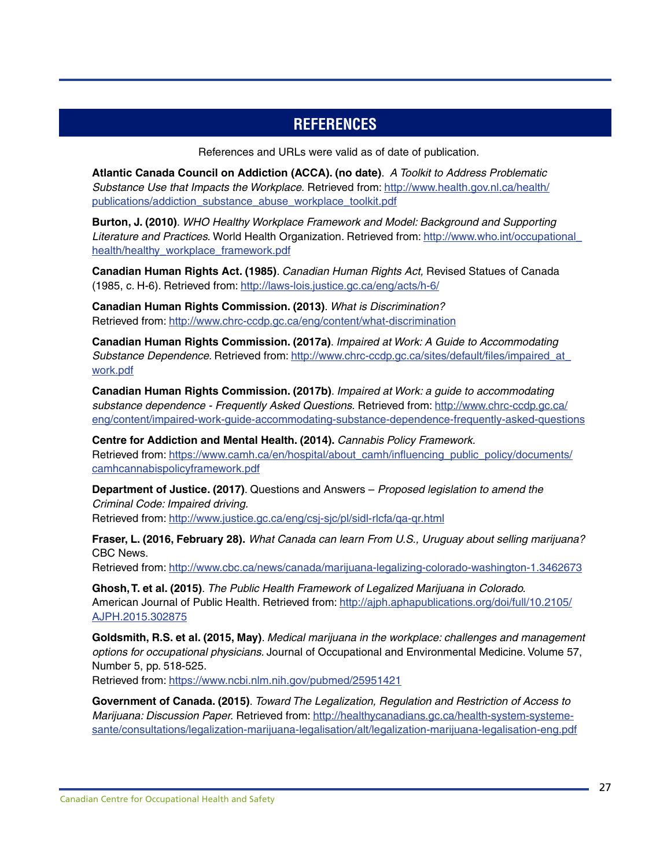### **REFERENCES**

References and URLs were valid as of date of publication.

<span id="page-28-0"></span>**Atlantic Canada Council on Addiction (ACCA). (no date)**. *A Toolkit to Address Problematic Substance Use that Impacts the Workplace.* Retrieved from: [http://www.health.gov.nl.ca/health/](http://www.health.gov.nl.ca/health/publications/addiction_substance_abuse_workplace_toolkit.pdf) [publications/addiction\\_substance\\_abuse\\_workplace\\_toolkit.pdf](http://www.health.gov.nl.ca/health/publications/addiction_substance_abuse_workplace_toolkit.pdf)

**Burton, J. (2010)**. *WHO Healthy Workplace Framework and Model: Background and Supporting Literature and Practices.* World Health Organization. Retrieved from: [http://www.who.int/occupational\\_](http://www.who.int/occupational_health/healthy_workplace_framework.pdf) [health/healthy\\_workplace\\_framework.pdf](http://www.who.int/occupational_health/healthy_workplace_framework.pdf)

**Canadian Human Rights Act. (1985)**. *Canadian Human Rights Act,* Revised Statues of Canada (1985, c. H-6). Retrieved from: <http://laws-lois.justice.gc.ca/eng/acts/h-6/>

**Canadian Human Rights Commission. (2013)**. *What is Discrimination?* Retrieved from:<http://www.chrc-ccdp.gc.ca/eng/content/what-discrimination>

**Canadian Human Rights Commission. (2017a)**. *Impaired at Work: A Guide to Accommodating Substance Dependence.* Retrieved from: [http://www.chrc-ccdp.gc.ca/sites/default/files/impaired\\_at\\_](http://www.chrc-ccdp.gc.ca/sites/default/files/impaired_at_work.pdf) [work.pdf](http://www.chrc-ccdp.gc.ca/sites/default/files/impaired_at_work.pdf)

**Canadian Human Rights Commission. (2017b)**. *Impaired at Work: a guide to accommodating substance dependence - Frequently Asked Questions.* Retrieved from: [http://www.chrc-ccdp.gc.ca/](http://www.chrc-ccdp.gc.ca/eng/content/impaired-work-guide-accommodating-substance-dependence-frequently-asked-questions) [eng/content/impaired-work-guide-accommodating-substance-dependence-frequently-asked-questions](http://www.chrc-ccdp.gc.ca/eng/content/impaired-work-guide-accommodating-substance-dependence-frequently-asked-questions)

**Centre for Addiction and Mental Health. (2014).** *Cannabis Policy Framework.* Retrieved from: [https://www.camh.ca/en/hospital/about\\_camh/influencing\\_public\\_policy/documents/](https://www.camh.ca/en/hospital/about_camh/influencing_public_policy/documents/camhcannabispolicyframework.pdf) [camhcannabispolicyframework.pdf](https://www.camh.ca/en/hospital/about_camh/influencing_public_policy/documents/camhcannabispolicyframework.pdf)

**Department of Justice. (2017)**. Questions and Answers – *Proposed legislation to amend the Criminal Code: Impaired driving.*

Retrieved from:<http://www.justice.gc.ca/eng/csj-sjc/pl/sidl-rlcfa/qa-qr.html>

**Fraser, L. (2016, February 28).** *What Canada can learn From U.S., Uruguay about selling marijuana?* CBC News.

Retrieved from:<http://www.cbc.ca/news/canada/marijuana-legalizing-colorado-washington-1.3462673>

**Ghosh, T. et al. (2015)**. *The Public Health Framework of Legalized Marijuana in Colorado.* American Journal of Public Health. Retrieved from: [http://ajph.aphapublications.org/doi/full/10.2105/](http://ajph.aphapublications.org/doi/full/10.2105/AJPH.2015.302875) [AJPH.2015.302875](http://ajph.aphapublications.org/doi/full/10.2105/AJPH.2015.302875)

**Goldsmith, R.S. et al. (2015, May)**. *Medical marijuana in the workplace: challenges and management options for occupational physicians.* Journal of Occupational and Environmental Medicine. Volume 57, Number 5, pp. 518-525.

Retrieved from:<https://www.ncbi.nlm.nih.gov/pubmed/25951421>

**Government of Canada. (2015)**. *Toward The Legalization, Regulation and Restriction of Access to Marijuana: Discussion Paper.* Retrieved from: [http://healthycanadians.gc.ca/health-system-systeme](http://healthycanadians.gc.ca/health-system-systeme-sante/consultations/legalization-marijuana-legalisation/alt/legalization-marijuana-legalisation-eng.pdf)[sante/consultations/legalization-marijuana-legalisation/alt/legalization-marijuana-legalisation-eng.pdf](http://healthycanadians.gc.ca/health-system-systeme-sante/consultations/legalization-marijuana-legalisation/alt/legalization-marijuana-legalisation-eng.pdf)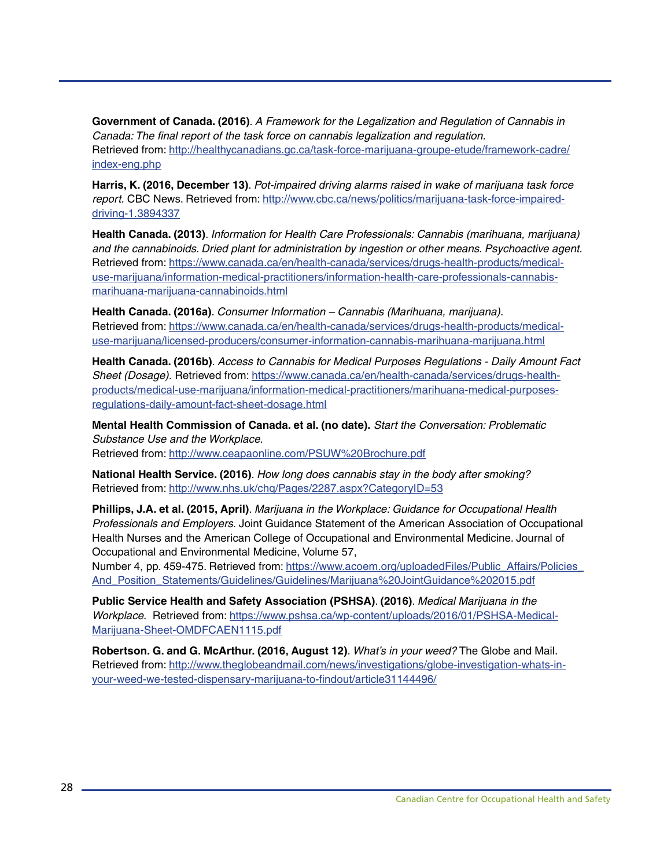**Government of Canada. (2016)**. *A Framework for the Legalization and Regulation of Cannabis in Canada: The final report of the task force on cannabis legalization and regulation.* Retrieved from: [http://healthycanadians.gc.ca/task-force-marijuana-groupe-etude/framework-cadre/](http://healthycanadians.gc.ca/task-force-marijuana-groupe-etude/framework-cadre/index-eng.php) [index-eng.php](http://healthycanadians.gc.ca/task-force-marijuana-groupe-etude/framework-cadre/index-eng.php)

**Harris, K. (2016, December 13)**. *Pot-impaired driving alarms raised in wake of marijuana task force report.* CBC News. Retrieved from: [http://www.cbc.ca/news/politics/marijuana-task-force-impaired](http://www.cbc.ca/news/politics/marijuana-task-force-impaired-driving-1.3894337)[driving-1.3894337](http://www.cbc.ca/news/politics/marijuana-task-force-impaired-driving-1.3894337)

**Health Canada. (2013)**. *Information for Health Care Professionals: Cannabis (marihuana, marijuana) and the cannabinoids. Dried plant for administration by ingestion or other means. Psychoactive agent.* Retrieved from: [https://www.canada.ca/en/health-canada/services/drugs-health-products/medical](https://www.canada.ca/en/health-canada/services/drugs-health-products/medical-use-marijuana/information-medical-practitioners/information-health-care-professionals-cannabis-marihuana-marijuana-cannabinoids.html)[use-marijuana/information-medical-practitioners/information-health-care-professionals-cannabis](https://www.canada.ca/en/health-canada/services/drugs-health-products/medical-use-marijuana/information-medical-practitioners/information-health-care-professionals-cannabis-marihuana-marijuana-cannabinoids.html)[marihuana-marijuana-cannabinoids.html](https://www.canada.ca/en/health-canada/services/drugs-health-products/medical-use-marijuana/information-medical-practitioners/information-health-care-professionals-cannabis-marihuana-marijuana-cannabinoids.html)

**Health Canada. (2016a)**. *Consumer Information – Cannabis (Marihuana, marijuana).* Retrieved from: [https://www.canada.ca/en/health-canada/services/drugs-health-products/medical](https://www.canada.ca/en/health-canada/services/drugs-health-products/medical-use-marijuana/licensed-producers/consumer-information-cannabis-marihuana-marijuana.html)[use-marijuana/licensed-producers/consumer-information-cannabis-marihuana-marijuana.html](https://www.canada.ca/en/health-canada/services/drugs-health-products/medical-use-marijuana/licensed-producers/consumer-information-cannabis-marihuana-marijuana.html)

**Health Canada. (2016b)**. *Access to Cannabis for Medical Purposes Regulations - Daily Amount Fact Sheet (Dosage).* Retrieved from: [https://www.canada.ca/en/health-canada/services/drugs-health](https://www.canada.ca/en/health-canada/services/drugs-health-products/medical-use-marijuana/information-medical-practitioners/marihuana-medical-purposes-regulations-daily-amount-fact-sheet-dosage.html)[products/medical-use-marijuana/information-medical-practitioners/marihuana-medical-purposes](https://www.canada.ca/en/health-canada/services/drugs-health-products/medical-use-marijuana/information-medical-practitioners/marihuana-medical-purposes-regulations-daily-amount-fact-sheet-dosage.html)[regulations-daily-amount-fact-sheet-dosage.html](https://www.canada.ca/en/health-canada/services/drugs-health-products/medical-use-marijuana/information-medical-practitioners/marihuana-medical-purposes-regulations-daily-amount-fact-sheet-dosage.html)

**Mental Health Commission of Canada. et al. (no date).** *Start the Conversation: Problematic Substance Use and the Workplace.*  Retrieved from:<http://www.ceapaonline.com/PSUW%20Brochure.pdf>

**National Health Service. (2016)**. *How long does cannabis stay in the body after smoking?* Retrieved from:<http://www.nhs.uk/chq/Pages/2287.aspx?CategoryID=53>

**Phillips, J.A. et al. (2015, April)**. *Marijuana in the Workplace: Guidance for Occupational Health Professionals and Employers.* Joint Guidance Statement of the American Association of Occupational Health Nurses and the American College of Occupational and Environmental Medicine. Journal of Occupational and Environmental Medicine, Volume 57,

Number 4, pp. 459-475. Retrieved from: [https://www.acoem.org/uploadedFiles/Public\\_Affairs/Policies\\_](https://www.acoem.org/uploadedFiles/Public_Affairs/Policies_And_Position_Statements/Guidelines/Guidelines/Marijuana%20JointGuidance%202015.pdf) [And\\_Position\\_Statements/Guidelines/Guidelines/Marijuana%20JointGuidance%202015.pdf](https://www.acoem.org/uploadedFiles/Public_Affairs/Policies_And_Position_Statements/Guidelines/Guidelines/Marijuana%20JointGuidance%202015.pdf)

**Public Service Health and Safety Association (PSHSA)**. **(2016)**. *Medical Marijuana in the Workplace.* Retrieved from: [https://www.pshsa.ca/wp-content/uploads/2016/01/PSHSA-Medical-](https://www.pshsa.ca/wp-content/uploads/2016/01/PSHSA-Medical-Marijuana-Sheet-OMDFCAEN1115.pdf )[Marijuana-Sheet-OMDFCAEN1115.pdf](https://www.pshsa.ca/wp-content/uploads/2016/01/PSHSA-Medical-Marijuana-Sheet-OMDFCAEN1115.pdf )

**Robertson. G. and G. McArthur. (2016, August 12)**. *What's in your weed?* The Globe and Mail. Retrieved from: [http://www.theglobeandmail.com/news/investigations/globe-investigation-whats-in](http://www.theglobeandmail.com/news/investigations/globe-investigation-whats-in-your-weed-we-tested-dispensary-marijuana-to-findout/article31144496/)[your-weed-we-tested-dispensary-marijuana-to-findout/article31144496/](http://www.theglobeandmail.com/news/investigations/globe-investigation-whats-in-your-weed-we-tested-dispensary-marijuana-to-findout/article31144496/)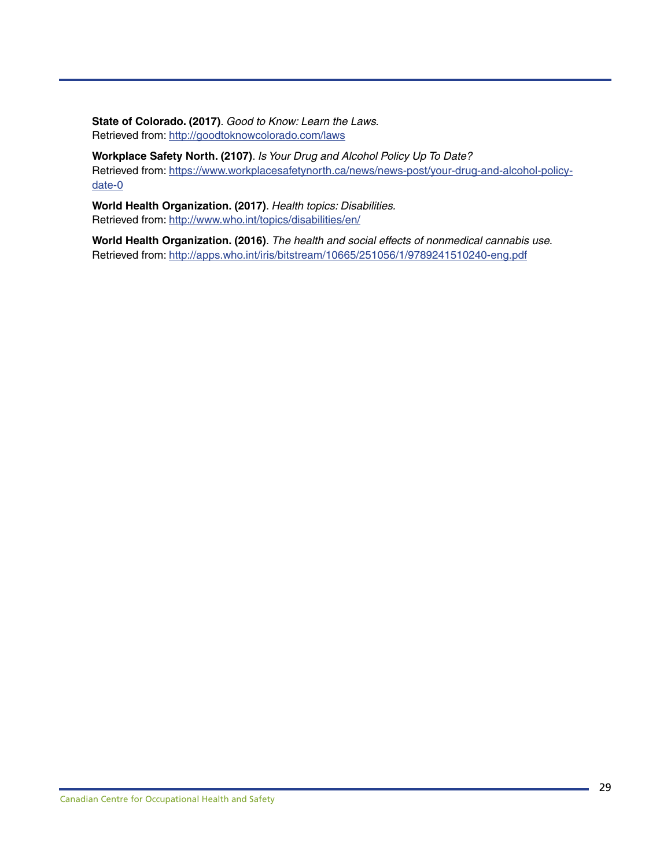**State of Colorado. (2017)**. *Good to Know: Learn the Laws.* Retrieved from:<http://goodtoknowcolorado.com/laws>

**Workplace Safety North. (2107)**. *Is Your Drug and Alcohol Policy Up To Date?* Retrieved from: [https://www.workplacesafetynorth.ca/news/news-post/your-drug-and-alcohol-policy](https://www.workplacesafetynorth.ca/news/news-post/your-drug-and-alcohol-policy-date-0)[date-0](https://www.workplacesafetynorth.ca/news/news-post/your-drug-and-alcohol-policy-date-0)

**World Health Organization. (2017)**. *Health topics: Disabilities.* Retrieved from:<http://www.who.int/topics/disabilities/en/>

**World Health Organization. (2016)**. *The health and social effects of nonmedical cannabis use.* Retrieved from:<http://apps.who.int/iris/bitstream/10665/251056/1/9789241510240-eng.pdf>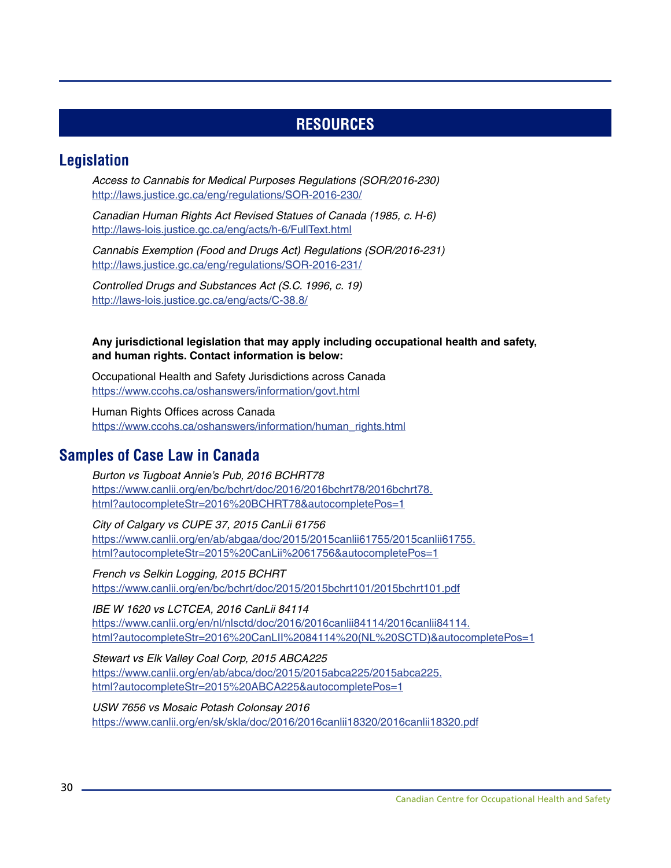### **RESOURCES**

### <span id="page-31-0"></span>**Legislation**

*Access to Cannabis for Medical Purposes Regulations (SOR/2016-230)* <http://laws.justice.gc.ca/eng/regulations/SOR-2016-230/>

*Canadian Human Rights Act Revised Statues of Canada (1985, c. H-6)* <http://laws-lois.justice.gc.ca/eng/acts/h-6/FullText.html>

*Cannabis Exemption (Food and Drugs Act) Regulations (SOR/2016-231)*  <http://laws.justice.gc.ca/eng/regulations/SOR-2016-231/>

*Controlled Drugs and Substances Act (S.C. 1996, c. 19)* <http://laws-lois.justice.gc.ca/eng/acts/C-38.8/>

#### **Any jurisdictional legislation that may apply including occupational health and safety, and human rights. Contact information is below:**

Occupational Health and Safety Jurisdictions across Canada <https://www.ccohs.ca/oshanswers/information/govt.html>

Human Rights Offices across Canada [https://www.ccohs.ca/oshanswers/information/human\\_rights.html](https://www.ccohs.ca/oshanswers/information/human_rights.html)

### **Samples of Case Law in Canada**

*Burton vs Tugboat Annie's Pub, 2016 BCHRT78*  [https://www.canlii.org/en/bc/bchrt/doc/2016/2016bchrt78/2016bchrt78.](https://www.canlii.org/en/bc/bchrt/doc/2016/2016bchrt78/2016bchrt78.html?autocompleteStr=2016%20BCHR) [html?autocompleteStr=2016%20BCHRT78&autocompletePos=1](https://www.canlii.org/en/bc/bchrt/doc/2016/2016bchrt78/2016bchrt78.html?autocompleteStr=2016%20BCHR)

*City of Calgary vs CUPE 37, 2015 CanLii 61756* [https://www.canlii.org/en/ab/abgaa/doc/2015/2015canlii61755/2015canlii61755.](https://www.canlii.org/en/ab/abgaa/doc/2015/2015canlii61755/2015canlii61755.html?autocompleteStr=201) [html?autocompleteStr=2015%20CanLii%2061756&autocompletePos=1](https://www.canlii.org/en/ab/abgaa/doc/2015/2015canlii61755/2015canlii61755.html?autocompleteStr=201)

*French vs Selkin Logging, 2015 BCHRT* <https://www.canlii.org/en/bc/bchrt/doc/2015/2015bchrt101/2015bchrt101.pdf>

*IBE W 1620 vs LCTCEA, 2016 CanLii 84114* [https://www.canlii.org/en/nl/nlsctd/doc/2016/2016canlii84114/2016canlii84114.](https://www.canlii.org/en/nl/nlsctd/doc/2016/2016canlii84114/2016canlii84114.html?autocompleteStr=20) [html?autocompleteStr=2016%20CanLII%2084114%20\(NL%20SCTD\)&autocompletePos=1](https://www.canlii.org/en/nl/nlsctd/doc/2016/2016canlii84114/2016canlii84114.html?autocompleteStr=20)

*Stewart vs Elk Valley Coal Corp, 2015 ABCA225* [https://www.canlii.org/en/ab/abca/doc/2015/2015abca225/2015abca225.](https://www.canlii.org/en/ab/abca/doc/2015/2015abca225/2015abca225.html?autocompleteStr=2015%20ABCA2) [html?autocompleteStr=2015%20ABCA225&autocompletePos=1](https://www.canlii.org/en/ab/abca/doc/2015/2015abca225/2015abca225.html?autocompleteStr=2015%20ABCA2)

*USW 7656 vs Mosaic Potash Colonsay 2016* <https://www.canlii.org/en/sk/skla/doc/2016/2016canlii18320/2016canlii18320.pdf>